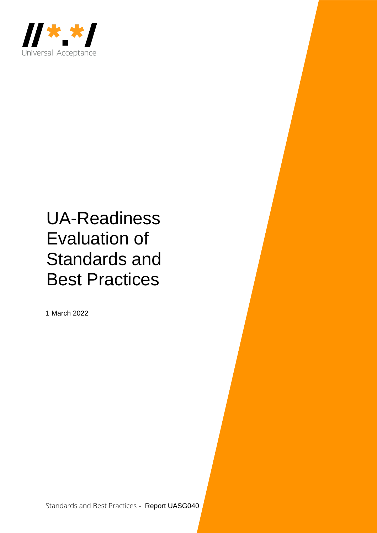

# UA-Readiness Evaluation of Standards and Best Practices

1 March 2022

Standards and Best Practices - Report UASG040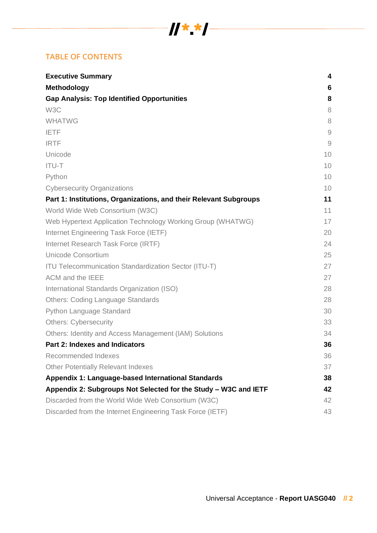# $\frac{1}{2}$   $\frac{1}{2}$   $\frac{1}{2}$   $\frac{1}{2}$   $\frac{1}{2}$   $\frac{1}{2}$   $\frac{1}{2}$   $\frac{1}{2}$   $\frac{1}{2}$   $\frac{1}{2}$   $\frac{1}{2}$   $\frac{1}{2}$   $\frac{1}{2}$   $\frac{1}{2}$   $\frac{1}{2}$   $\frac{1}{2}$   $\frac{1}{2}$   $\frac{1}{2}$   $\frac{1}{2}$   $\frac{1}{2}$   $\frac{1}{2}$   $\frac{1}{2}$

# **TABLE OF CONTENTS**

| <b>Executive Summary</b>                                          | 4              |
|-------------------------------------------------------------------|----------------|
| <b>Methodology</b>                                                | 6              |
| <b>Gap Analysis: Top Identified Opportunities</b>                 | 8              |
| W <sub>3</sub> C                                                  | 8              |
| <b>WHATWG</b>                                                     | 8              |
| <b>IETF</b>                                                       | $\overline{9}$ |
| <b>IRTF</b>                                                       | $\overline{9}$ |
| Unicode                                                           | 10             |
| <b>ITU-T</b>                                                      | 10             |
| Python                                                            | 10             |
| <b>Cybersecurity Organizations</b>                                | 10             |
| Part 1: Institutions, Organizations, and their Relevant Subgroups | 11             |
| World Wide Web Consortium (W3C)                                   | 11             |
| Web Hypertext Application Technology Working Group (WHATWG)       | 17             |
| Internet Engineering Task Force (IETF)                            | 20             |
| Internet Research Task Force (IRTF)                               | 24             |
| <b>Unicode Consortium</b>                                         | 25             |
| <b>ITU Telecommunication Standardization Sector (ITU-T)</b>       | 27             |
| ACM and the IEEE                                                  | 27             |
| International Standards Organization (ISO)                        | 28             |
| <b>Others: Coding Language Standards</b>                          | 28             |
| Python Language Standard                                          | 30             |
| <b>Others: Cybersecurity</b>                                      | 33             |
| Others: Identity and Access Management (IAM) Solutions            | 34             |
| Part 2: Indexes and Indicators                                    | 36             |
| Recommended Indexes                                               | 36             |
| <b>Other Potentially Relevant Indexes</b>                         | 37             |
| Appendix 1: Language-based International Standards                | 38             |
| Appendix 2: Subgroups Not Selected for the Study - W3C and IETF   | 42             |
| Discarded from the World Wide Web Consortium (W3C)                | 42             |
| Discarded from the Internet Engineering Task Force (IETF)         | 43             |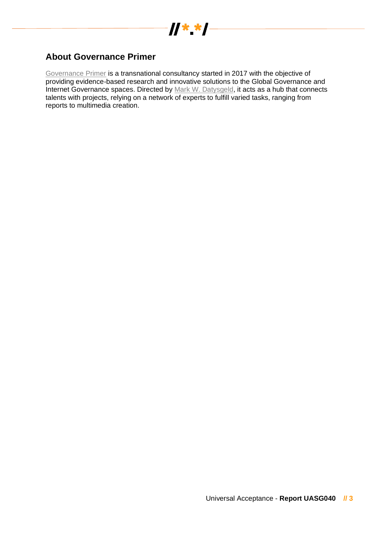

## <span id="page-2-0"></span>**About Governance Primer**

[Governance Primer](https://www.governanceprimer.com/) is a transnational consultancy started in 2017 with the objective of providing evidence-based research and innovative solutions to the Global Governance and Internet Governance spaces. Directed by [Mark W. Datysgeld,](https://markwd.website/) it acts as a hub that connects talents with projects, relying on a network of experts to fulfill varied tasks, ranging from reports to multimedia creation.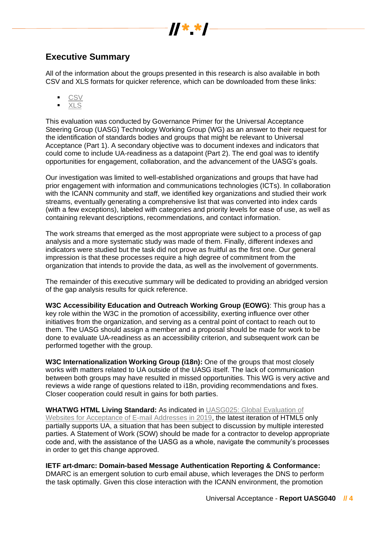

# <span id="page-3-0"></span>**Executive Summary**

All of the information about the groups presented in this research is also available in both CSV and XLS formats for quicker reference, which can be downloaded from these links:

- [CSV](https://uasg.tech/download/uasg-040b-ua-readiness-evaluation-of-standards-and-best-practices-data/)
- [XLS](https://uasg.tech/download/uasg-040a-ua-readiness-evaluation-of-standards-and-best-practices-data/)

This evaluation was conducted by Governance Primer for the Universal Acceptance Steering Group (UASG) Technology Working Group (WG) as an answer to their request for the identification of standards bodies and groups that might be relevant to Universal Acceptance (Part 1). A secondary objective was to document indexes and indicators that could come to include UA-readiness as a datapoint (Part 2). The end goal was to identify opportunities for engagement, collaboration, and the advancement of the UASG's goals.

Our investigation was limited to well-established organizations and groups that have had prior engagement with information and communications technologies (ICTs). In collaboration with the ICANN community and staff, we identified key organizations and studied their work streams, eventually generating a comprehensive list that was converted into index cards (with a few exceptions), labeled with categories and priority levels for ease of use, as well as containing relevant descriptions, recommendations, and contact information.

The work streams that emerged as the most appropriate were subject to a process of gap analysis and a more systematic study was made of them. Finally, different indexes and indicators were studied but the task did not prove as fruitful as the first one. Our general impression is that these processes require a high degree of commitment from the organization that intends to provide the data, as well as the involvement of governments.

The remainder of this executive summary will be dedicated to providing an abridged version of the gap analysis results for quick reference.

**W3C Accessibility Education and Outreach Working Group (EOWG)**: This group has a key role within the W3C in the promotion of accessibility, exerting influence over other initiatives from the organization, and serving as a central point of contact to reach out to them. The UASG should assign a member and a proposal should be made for work to be done to evaluate UA-readiness as an accessibility criterion, and subsequent work can be performed together with the group.

**W3C Internationalization Working Group (i18n):** One of the groups that most closely works with matters related to UA outside of the UASG itself. The lack of communication between both groups may have resulted in missed opportunities. This WG is very active and reviews a wide range of questions related to i18n, providing recommendations and fixes. Closer cooperation could result in gains for both parties.

**WHATWG HTML Living Standard:** As indicated in [UASG025: Global Evaluation of](https://uasg.tech/download/uasg-025-global-evaluation-of-websites-for-acceptance-of-e-mail-addresses-in-2019-en/)  [Websites for Acceptance of E-mail Addresses in 2019,](https://uasg.tech/download/uasg-025-global-evaluation-of-websites-for-acceptance-of-e-mail-addresses-in-2019-en/) the latest iteration of HTML5 only partially supports UA, a situation that has been subject to discussion by multiple interested parties. A Statement of Work (SOW) should be made for a contractor to develop appropriate code and, with the assistance of the UASG as a whole, navigate the community's processes in order to get this change approved.

## **IETF art-dmarc: Domain-based Message Authentication Reporting & Conformance:**

DMARC is an emergent solution to curb email abuse, which leverages the DNS to perform the task optimally. Given this close interaction with the ICANN environment, the promotion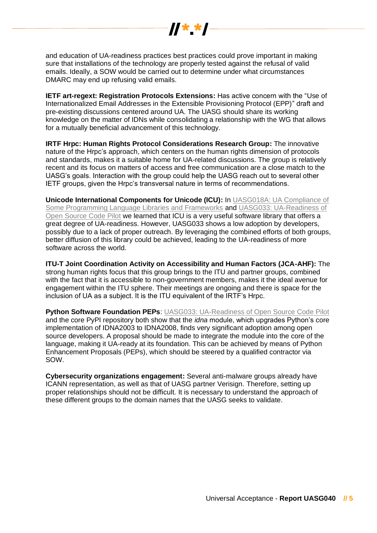

and education of UA-readiness practices best practices could prove important in making sure that installations of the technology are properly tested against the refusal of valid emails. Ideally, a SOW would be carried out to determine under what circumstances DMARC may end up refusing valid emails.

**IETF art-regext: Registration Protocols Extensions:** Has active concern with the "Use of Internationalized Email Addresses in the Extensible Provisioning Protocol (EPP)" draft and pre-existing discussions centered around UA. The UASG should share its working knowledge on the matter of IDNs while consolidating a relationship with the WG that allows for a mutually beneficial advancement of this technology.

**IRTF Hrpc: Human Rights Protocol Considerations Research Group:** The innovative nature of the Hrpc's approach, which centers on the human rights dimension of protocols and standards, makes it a suitable home for UA-related discussions. The group is relatively recent and its focus on matters of access and free communication are a close match to the UASG's goals. Interaction with the group could help the UASG reach out to several other IETF groups, given the Hrpc's transversal nature in terms of recommendations.

**Unicode International Components for Unicode (ICU):** In [UASG018A: UA Compliance of](https://uasg.tech/download/uasg-018a-ua-compliance-of-some-programming-language-libraries-and-frameworks-en/)  [Some Programming Language Libraries and Frameworks](https://uasg.tech/download/uasg-018a-ua-compliance-of-some-programming-language-libraries-and-frameworks-en/) and [UASG033: UA-Readiness of](https://uasg.tech/download/uasg-033-ua-readiness-of-open-source-code-pilot-en/)  [Open Source Code Pilot](https://uasg.tech/download/uasg-033-ua-readiness-of-open-source-code-pilot-en/) we learned that ICU is a very useful software library that offers a great degree of UA-readiness. However, UASG033 shows a low adoption by developers, possibly due to a lack of proper outreach. By leveraging the combined efforts of both groups, better diffusion of this library could be achieved, leading to the UA-readiness of more software across the world.

**ITU-T Joint Coordination Activity on Accessibility and Human Factors (JCA-AHF):** The strong human rights focus that this group brings to the ITU and partner groups, combined with the fact that it is accessible to non-government members, makes it the ideal avenue for engagement within the ITU sphere. Their meetings are ongoing and there is space for the inclusion of UA as a subject. It is the ITU equivalent of the IRTF's Hrpc.

**Python Software Foundation PEPs: [UASG033: UA-Readiness of Open Source Code Pilot](https://uasg.tech/download/uasg-033-ua-readiness-of-open-source-code-pilot-en/)** and the core PyPI repository both show that the *idna* module, which upgrades Python's core implementation of IDNA2003 to IDNA2008, finds very significant adoption among open source developers. A proposal should be made to integrate the module into the core of the language, making it UA-ready at its foundation. This can be achieved by means of Python Enhancement Proposals (PEPs), which should be steered by a qualified contractor via SOW.

**Cybersecurity organizations engagement:** Several anti-malware groups already have ICANN representation, as well as that of UASG partner Verisign. Therefore, setting up proper relationships should not be difficult. It is necessary to understand the approach of these different groups to the domain names that the UASG seeks to validate.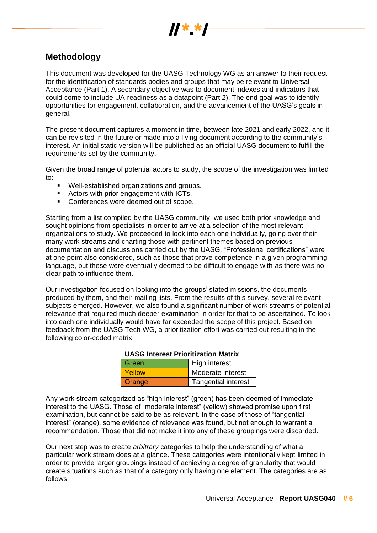

# <span id="page-5-0"></span>**Methodology**

This document was developed for the UASG Technology WG as an answer to their request for the identification of standards bodies and groups that may be relevant to Universal Acceptance (Part 1). A secondary objective was to document indexes and indicators that could come to include UA-readiness as a datapoint (Part 2). The end goal was to identify opportunities for engagement, collaboration, and the advancement of the UASG's goals in general.

The present document captures a moment in time, between late 2021 and early 2022, and it can be revisited in the future or made into a living document according to the community's interest. An initial static version will be published as an official UASG document to fulfill the requirements set by the community.

Given the broad range of potential actors to study, the scope of the investigation was limited to:

- Well-established organizations and groups.
- Actors with prior engagement with ICTs.
- Conferences were deemed out of scope.

Starting from a list compiled by the UASG community, we used both prior knowledge and sought opinions from specialists in order to arrive at a selection of the most relevant organizations to study. We proceeded to look into each one individually, going over their many work streams and charting those with pertinent themes based on previous documentation and discussions carried out by the UASG. "Professional certifications" were at one point also considered, such as those that prove competence in a given programming language, but these were eventually deemed to be difficult to engage with as there was no clear path to influence them.

Our investigation focused on looking into the groups' stated missions, the documents produced by them, and their mailing lists. From the results of this survey, several relevant subjects emerged. However, we also found a significant number of work streams of potential relevance that required much deeper examination in order for that to be ascertained. To look into each one individually would have far exceeded the scope of this project. Based on feedback from the UASG Tech WG, a prioritization effort was carried out resulting in the following color-coded matrix:

| <b>UASG Interest Prioritization Matrix</b> |                            |
|--------------------------------------------|----------------------------|
| Green                                      | <b>High interest</b>       |
| Yellow                                     | Moderate interest          |
| Orange                                     | <b>Tangential interest</b> |

Any work stream categorized as "high interest" (green) has been deemed of immediate interest to the UASG. Those of "moderate interest" (yellow) showed promise upon first examination, but cannot be said to be as relevant. In the case of those of "tangential interest" (orange), some evidence of relevance was found, but not enough to warrant a recommendation. Those that did not make it into any of these groupings were discarded.

Our next step was to create *arbitrary* categories to help the understanding of what a particular work stream does at a glance. These categories were intentionally kept limited in order to provide larger groupings instead of achieving a degree of granularity that would create situations such as that of a category only having one element. The categories are as follows: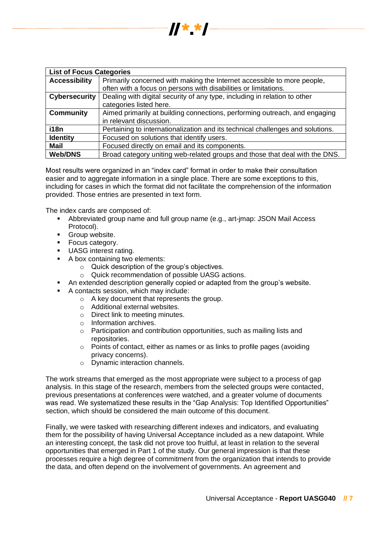

| <b>List of Focus Categories</b> |                                                                                |
|---------------------------------|--------------------------------------------------------------------------------|
| <b>Accessibility</b>            | Primarily concerned with making the Internet accessible to more people,        |
|                                 | often with a focus on persons with disabilities or limitations.                |
| <b>Cybersecurity</b>            | Dealing with digital security of any type, including in relation to other      |
|                                 | categories listed here.                                                        |
| <b>Community</b>                | Aimed primarily at building connections, performing outreach, and engaging     |
|                                 | in relevant discussion.                                                        |
| i18n                            | Pertaining to internationalization and its technical challenges and solutions. |
| <b>Identity</b>                 | Focused on solutions that identify users.                                      |
| <b>Mail</b>                     | Focused directly on email and its components.                                  |
| <b>Web/DNS</b>                  | Broad category uniting web-related groups and those that deal with the DNS.    |

Most results were organized in an "index card" format in order to make their consultation easier and to aggregate information in a single place. There are some exceptions to this, including for cases in which the format did not facilitate the comprehension of the information provided. Those entries are presented in text form.

The index cards are composed of:

- Abbreviated group name and full group name (e.g., art-jmap: JSON Mail Access Protocol).
- Group website.
- Focus category.
- **UASG interest rating.**
- A box containing two elements:
	- o Quick description of the group's objectives.
	- o Quick recommendation of possible UASG actions.
- An extended description generally copied or adapted from the group's website.
- A contacts session, which may include:
	- o A key document that represents the group.
	- o Additional external websites.
	- o Direct link to meeting minutes.
	- o Information archives.
	- o Participation and contribution opportunities, such as mailing lists and repositories.
	- o Points of contact, either as names or as links to profile pages (avoiding privacy concerns).
	- o Dynamic interaction channels.

The work streams that emerged as the most appropriate were subject to a process of gap analysis. In this stage of the research, members from the selected groups were contacted, previous presentations at conferences were watched, and a greater volume of documents was read. We systematized these results in the "Gap Analysis: Top Identified Opportunities" section, which should be considered the main outcome of this document.

Finally, we were tasked with researching different indexes and indicators, and evaluating them for the possibility of having Universal Acceptance included as a new datapoint. While an interesting concept, the task did not prove too fruitful, at least in relation to the several opportunities that emerged in Part 1 of the study. Our general impression is that these processes require a high degree of commitment from the organization that intends to provide the data, and often depend on the involvement of governments. An agreement and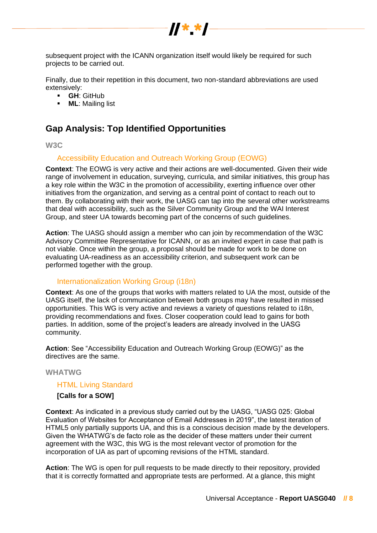

subsequent project with the ICANN organization itself would likely be required for such projects to be carried out.

Finally, due to their repetition in this document, two non-standard abbreviations are used extensively:

- **GH**: GitHub
- **ML**: Mailing list

# <span id="page-7-0"></span>**Gap Analysis: Top Identified Opportunities**

## <span id="page-7-1"></span>**W3C**

## Accessibility Education and Outreach Working Group (EOWG)

**Context**: The EOWG is very active and their actions are well-documented. Given their wide range of involvement in education, surveying, curricula, and similar initiatives, this group has a key role within the W3C in the promotion of accessibility, exerting influence over other initiatives from the organization, and serving as a central point of contact to reach out to them. By collaborating with their work, the UASG can tap into the several other workstreams that deal with accessibility, such as the Silver Community Group and the WAI Interest Group, and steer UA towards becoming part of the concerns of such guidelines.

**Action**: The UASG should assign a member who can join by recommendation of the W3C Advisory Committee Representative for ICANN, or as an invited expert in case that path is not viable. Once within the group, a proposal should be made for work to be done on evaluating UA-readiness as an accessibility criterion, and subsequent work can be performed together with the group.

## Internationalization Working Group (i18n)

**Context**: As one of the groups that works with matters related to UA the most, outside of the UASG itself, the lack of communication between both groups may have resulted in missed opportunities. This WG is very active and reviews a variety of questions related to i18n, providing recommendations and fixes. Closer cooperation could lead to gains for both parties. In addition, some of the project's leaders are already involved in the UASG community.

**Action**: See "Accessibility Education and Outreach Working Group (EOWG)" as the directives are the same.

#### <span id="page-7-2"></span>**WHATWG**

## HTML Living Standard

#### **[Calls for a SOW]**

**Context**: As indicated in a previous study carried out by the UASG, "UASG 025: Global Evaluation of Websites for Acceptance of Email Addresses in 2019", the latest iteration of HTML5 only partially supports UA, and this is a conscious decision made by the developers. Given the WHATWG's de facto role as the decider of these matters under their current agreement with the W3C, this WG is the most relevant vector of promotion for the incorporation of UA as part of upcoming revisions of the HTML standard.

**Action**: The WG is open for pull requests to be made directly to their repository, provided that it is correctly formatted and appropriate tests are performed. At a glance, this might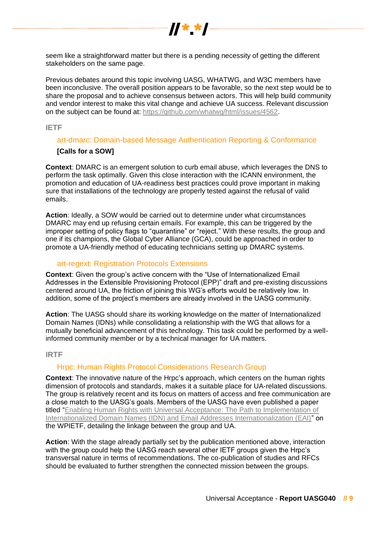

seem like a straightforward matter but there is a pending necessity of getting the different stakeholders on the same page.

Previous debates around this topic involving UASG, WHATWG, and W3C members have been inconclusive. The overall position appears to be favorable, so the next step would be to share the proposal and to achieve consensus between actors. This will help build community and vendor interest to make this vital change and achieve UA success. Relevant discussion on the subject can be found at: [https://github.com/whatwg/html/issues/4562.](https://github.com/whatwg/html/issues/4562)

<span id="page-8-0"></span>**IETF**

## art-dmarc: Domain-based Message Authentication Reporting & Conformance

## **[Calls for a SOW]**

**Context**: DMARC is an emergent solution to curb email abuse, which leverages the DNS to perform the task optimally. Given this close interaction with the ICANN environment, the promotion and education of UA-readiness best practices could prove important in making sure that installations of the technology are properly tested against the refusal of valid emails.

**Action**: Ideally, a SOW would be carried out to determine under what circumstances DMARC may end up refusing certain emails. For example, this can be triggered by the improper setting of policy flags to "quarantine" or "reject." With these results, the group and one if its champions, the Global Cyber Alliance (GCA), could be approached in order to promote a UA-friendly method of educating technicians setting up DMARC systems.

## art-regext: Registration Protocols Extensions

**Context**: Given the group's active concern with the "Use of Internationalized Email Addresses in the Extensible Provisioning Protocol (EPP)" draft and pre-existing discussions centered around UA, the friction of joining this WG's efforts would be relatively low. In addition, some of the project's members are already involved in the UASG community.

**Action**: The UASG should share its working knowledge on the matter of Internationalized Domain Names (IDNs) while consolidating a relationship with the WG that allows for a mutually beneficial advancement of this technology. This task could be performed by a wellinformed community member or by a technical manager for UA matters.

#### <span id="page-8-1"></span>**IRTF**

## Hrpc: Human Rights Protocol Considerations Research Group

**Context**: The innovative nature of the Hrpc's approach, which centers on the human rights dimension of protocols and standards, makes it a suitable place for UA-related discussions. The group is relatively recent and its focus on matters of access and free communication are a close match to the UASG's goals. Members of the UASG have even published a paper titled ["Enabling Human Rights with Universal Acceptance: The Path to Implementation of](https://sol.sbc.org.br/index.php/wpietf/article/view/15781)  [Internationalized Domain Names \(IDN\) and Email Addresses Internationalization \(EAI\)"](https://sol.sbc.org.br/index.php/wpietf/article/view/15781) on the WPIETF, detailing the linkage between the group and UA.

**Action**: With the stage already partially set by the publication mentioned above, interaction with the group could help the UASG reach several other IETF groups given the Hrpc's transversal nature in terms of recommendations. The co-publication of studies and RFCs should be evaluated to further strengthen the connected mission between the groups.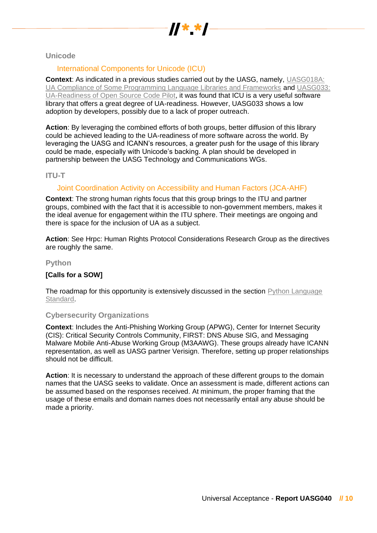

<span id="page-9-0"></span>**Unicode**

## International Components for Unicode (ICU)

**Context**: As indicated in a previous studies carried out by the UASG, namely, [UASG018A:](https://uasg.tech/download/uasg-018a-ua-compliance-of-some-programming-language-libraries-and-frameworks-en/)  [UA Compliance of Some Programming Language Libraries and Frameworks](https://uasg.tech/download/uasg-018a-ua-compliance-of-some-programming-language-libraries-and-frameworks-en/) and [UASG033:](https://uasg.tech/download/uasg-033-ua-readiness-of-open-source-code-pilot-en/)  [UA-Readiness of Open Source Code Pilot,](https://uasg.tech/download/uasg-033-ua-readiness-of-open-source-code-pilot-en/) it was found that ICU is a very useful software library that offers a great degree of UA-readiness. However, UASG033 shows a low adoption by developers, possibly due to a lack of proper outreach.

**Action**: By leveraging the combined efforts of both groups, better diffusion of this library could be achieved leading to the UA-readiness of more software across the world. By leveraging the UASG and ICANN's resources, a greater push for the usage of this library could be made, especially with Unicode's backing. A plan should be developed in partnership between the UASG Technology and Communications WGs.

## <span id="page-9-1"></span>**ITU-T**

## Joint Coordination Activity on Accessibility and Human Factors (JCA-AHF)

**Context**: The strong human rights focus that this group brings to the ITU and partner groups, combined with the fact that it is accessible to non-government members, makes it the ideal avenue for engagement within the ITU sphere. Their meetings are ongoing and there is space for the inclusion of UA as a subject.

**Action**: See Hrpc: Human Rights Protocol Considerations Research Group as the directives are roughly the same.

## <span id="page-9-2"></span>**Python**

## **[Calls for a SOW]**

The roadmap for this opportunity is extensively discussed in the section Python Language [Standard.](#page-2-0)

#### <span id="page-9-3"></span>**Cybersecurity Organizations**

**Context**: Includes the Anti-Phishing Working Group (APWG), Center for Internet Security (CIS): Critical Security Controls Community, FIRST: DNS Abuse SIG, and Messaging Malware Mobile Anti-Abuse Working Group (M3AAWG). These groups already have ICANN representation, as well as UASG partner Verisign. Therefore, setting up proper relationships should not be difficult.

**Action**: It is necessary to understand the approach of these different groups to the domain names that the UASG seeks to validate. Once an assessment is made, different actions can be assumed based on the responses received. At minimum, the proper framing that the usage of these emails and domain names does not necessarily entail any abuse should be made a priority.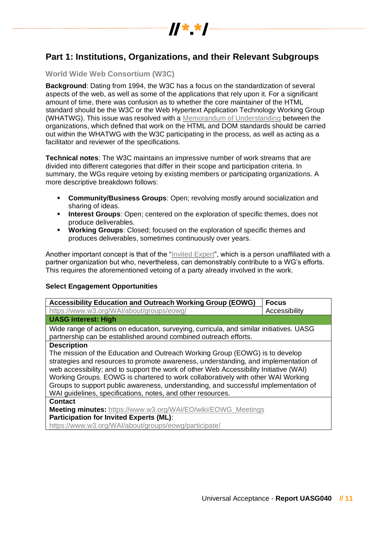

# <span id="page-10-0"></span>**Part 1: Institutions, Organizations, and their Relevant Subgroups**

## <span id="page-10-1"></span>**World Wide Web Consortium (W3C)**

**Background**: Dating from 1994, the W3C has a focus on the standardization of several aspects of the web, as well as some of the applications that rely upon it. For a significant amount of time, there was confusion as to whether the core maintainer of the HTML standard should be the W3C or the Web Hypertext Application Technology Working Group (WHATWG). This issue was resolved with a [Memorandum of Understanding](https://www.w3.org/2019/04/WHATWG-W3C-MOU.html) between the organizations, which defined that work on the HTML and DOM standards should be carried out within the WHATWG with the W3C participating in the process, as well as acting as a facilitator and reviewer of the specifications.

**Technical notes**: The W3C maintains an impressive number of work streams that are divided into different categories that differ in their scope and participation criteria. In summary, the WGs require vetoing by existing members or participating organizations. A more descriptive breakdown follows:

- **Community/Business Groups:** Open; revolving mostly around socialization and sharing of ideas.
- **Interest Groups**: Open; centered on the exploration of specific themes, does not produce deliverables.
- **Working Groups**: Closed; focused on the exploration of specific themes and produces deliverables, sometimes continuously over years.

Another important concept is that of the ["Invited Expert"](https://www.w3.org/participate/invited-experts/), which is a person unaffiliated with a partner organization but who, nevertheless, can demonstrably contribute to a WG's efforts. This requires the aforementioned vetoing of a party already involved in the work.

#### **Select Engagement Opportunities**

| <b>Accessibility Education and Outreach Working Group (EOWG)</b>                                                                                            | <b>Focus</b>  |
|-------------------------------------------------------------------------------------------------------------------------------------------------------------|---------------|
| https://www.w3.org/WAI/about/groups/eowg/                                                                                                                   | Accessibility |
| <b>UASG interest: High</b>                                                                                                                                  |               |
| Wide range of actions on education, surveying, curricula, and similar initiatives. UASG<br>partnership can be established around combined outreach efforts. |               |
| <b>Description</b>                                                                                                                                          |               |
| The mission of the Education and Outreach Working Group (EOWG) is to develop                                                                                |               |
| strategies and resources to promote awareness, understanding, and implementation of                                                                         |               |
| web accessibility; and to support the work of other Web Accessibility Initiative (WAI)                                                                      |               |
| Working Groups. EOWG is chartered to work collaboratively with other WAI Working                                                                            |               |
| Groups to support public awareness, understanding, and successful implementation of                                                                         |               |
| WAI guidelines, specifications, notes, and other resources.                                                                                                 |               |
| <b>Contact</b>                                                                                                                                              |               |
| <b>Meeting minutes:</b> https://www.w3.org/WAI/EO/wiki/EOWG_Meetings                                                                                        |               |
| <b>Participation for Invited Experts (ML):</b>                                                                                                              |               |
| https://www.w3.org/WAI/about/groups/eowg/participate/                                                                                                       |               |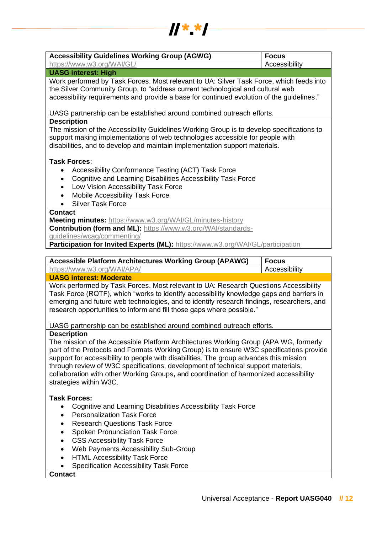

| <b>Accessibility Guidelines Working Group (AGWG)</b>                                                                                                                                                                                                                                                                                                                                                                                                                               | <b>Focus</b>  |
|------------------------------------------------------------------------------------------------------------------------------------------------------------------------------------------------------------------------------------------------------------------------------------------------------------------------------------------------------------------------------------------------------------------------------------------------------------------------------------|---------------|
| https://www.w3.org/WAI/GL/                                                                                                                                                                                                                                                                                                                                                                                                                                                         | Accessibility |
| <b>UASG interest: High</b>                                                                                                                                                                                                                                                                                                                                                                                                                                                         |               |
| Work performed by Task Forces. Most relevant to UA: Silver Task Force, which feeds into<br>the Silver Community Group, to "address current technological and cultural web<br>accessibility requirements and provide a base for continued evolution of the guidelines."                                                                                                                                                                                                             |               |
| UASG partnership can be established around combined outreach efforts.                                                                                                                                                                                                                                                                                                                                                                                                              |               |
| <b>Description</b>                                                                                                                                                                                                                                                                                                                                                                                                                                                                 |               |
| The mission of the Accessibility Guidelines Working Group is to develop specifications to<br>support making implementations of web technologies accessible for people with<br>disabilities, and to develop and maintain implementation support materials.                                                                                                                                                                                                                          |               |
| Task Forces:                                                                                                                                                                                                                                                                                                                                                                                                                                                                       |               |
| Accessibility Conformance Testing (ACT) Task Force<br>Cognitive and Learning Disabilities Accessibility Task Force<br>$\bullet$<br>Low Vision Accessibility Task Force<br>$\bullet$<br>Mobile Accessibility Task Force<br>$\bullet$<br><b>Silver Task Force</b>                                                                                                                                                                                                                    |               |
| <b>Contact</b>                                                                                                                                                                                                                                                                                                                                                                                                                                                                     |               |
| Meeting minutes: https://www.w3.org/WAI/GL/minutes-history<br>Contribution (form and ML): https://www.w3.org/WAI/standards-<br>guidelines/wcag/commenting/<br>Participation for Invited Experts (ML): https://www.w3.org/WAI/GL/participation                                                                                                                                                                                                                                      |               |
|                                                                                                                                                                                                                                                                                                                                                                                                                                                                                    |               |
| <b>Accessible Platform Architectures Working Group (APAWG)</b>                                                                                                                                                                                                                                                                                                                                                                                                                     | <b>Focus</b>  |
|                                                                                                                                                                                                                                                                                                                                                                                                                                                                                    |               |
| https://www.w3.org/WAI/APA/                                                                                                                                                                                                                                                                                                                                                                                                                                                        | Accessibility |
| <b>UASG interest: Moderate</b><br>Work performed by Task Forces. Most relevant to UA: Research Questions Accessibility<br>Task Force (RQTF), which "works to identify accessibility knowledge gaps and barriers in<br>emerging and future web technologies, and to identify research findings, researchers, and<br>research opportunities to inform and fill those gaps where possible."                                                                                           |               |
| UASG partnership can be established around combined outreach efforts.                                                                                                                                                                                                                                                                                                                                                                                                              |               |
| <b>Description</b>                                                                                                                                                                                                                                                                                                                                                                                                                                                                 |               |
| The mission of the Accessible Platform Architectures Working Group (APA WG, formerly<br>part of the Protocols and Formats Working Group) is to ensure W3C specifications provide<br>support for accessibility to people with disabilities. The group advances this mission<br>through review of W3C specifications, development of technical support materials,<br>collaboration with other Working Groups, and coordination of harmonized accessibility<br>strategies within W3C. |               |
|                                                                                                                                                                                                                                                                                                                                                                                                                                                                                    |               |
| <b>Task Forces:</b><br>Cognitive and Learning Disabilities Accessibility Task Force<br>$\bullet$<br><b>Personalization Task Force</b><br>$\bullet$<br><b>Research Questions Task Force</b><br>$\bullet$<br>Spoken Pronunciation Task Force<br>٠<br><b>CSS Accessibility Task Force</b><br>$\bullet$<br>Web Payments Accessibility Sub-Group<br>$\bullet$<br><b>HTML Accessibility Task Force</b><br>Specification Accessibility Task Force<br><b>Contact</b>                       |               |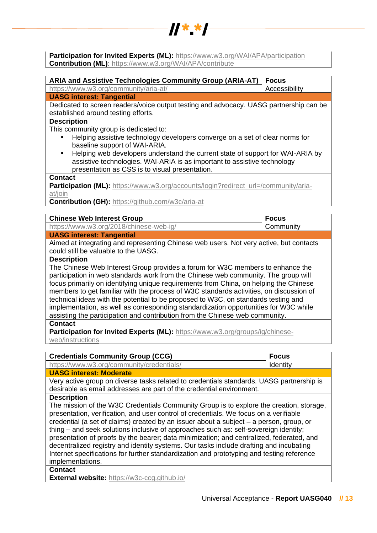

**Participation for Invited Experts (ML):** <https://www.w3.org/WAI/APA/participation> **Contribution (ML)**:<https://www.w3.org/WAI/APA/contribute>

| <b>ARIA and Assistive Technologies Community Group (ARIA-AT)</b>                                                                                                                                                                                                                                                          | <b>Focus</b>  |
|---------------------------------------------------------------------------------------------------------------------------------------------------------------------------------------------------------------------------------------------------------------------------------------------------------------------------|---------------|
| https://www.w3.org/community/aria-at/                                                                                                                                                                                                                                                                                     | Accessibility |
| <b>UASG interest: Tangential</b>                                                                                                                                                                                                                                                                                          |               |
| Dedicated to screen readers/voice output testing and advocacy. UASG partnership can be                                                                                                                                                                                                                                    |               |
| established around testing efforts.                                                                                                                                                                                                                                                                                       |               |
| <b>Description</b>                                                                                                                                                                                                                                                                                                        |               |
| This community group is dedicated to:<br>Helping assistive technology developers converge on a set of clear norms for<br>baseline support of WAI-ARIA.<br>Helping web developers understand the current state of support for WAI-ARIA by<br>٠<br>assistive technologies. WAI-ARIA is as important to assistive technology |               |
| presentation as CSS is to visual presentation.<br><b>Contact</b>                                                                                                                                                                                                                                                          |               |
| Participation (ML): https://www.w3.org/accounts/login?redirect_url=/community/aria-                                                                                                                                                                                                                                       |               |
| at/join                                                                                                                                                                                                                                                                                                                   |               |
| <b>Contribution (GH): https://github.com/w3c/aria-at</b>                                                                                                                                                                                                                                                                  |               |
| <b>Chinese Web Interest Group</b>                                                                                                                                                                                                                                                                                         | <b>Focus</b>  |
| https://www.w3.org/2018/chinese-web-ig/                                                                                                                                                                                                                                                                                   | Community     |
| <b>UASG interest: Tangential</b>                                                                                                                                                                                                                                                                                          |               |
| Aimed at integrating and representing Chinese web users. Not very active, but contacts                                                                                                                                                                                                                                    |               |
| could still be valuable to the UASG.                                                                                                                                                                                                                                                                                      |               |
| <b>Description</b>                                                                                                                                                                                                                                                                                                        |               |
| The Chinese Web Interest Group provides a forum for W3C members to enhance the                                                                                                                                                                                                                                            |               |
| participation in web standards work from the Chinese web community. The group will                                                                                                                                                                                                                                        |               |
| focus primarily on identifying unique requirements from China, on helping the Chinese                                                                                                                                                                                                                                     |               |
| members to get familiar with the process of W3C standards activities, on discussion of                                                                                                                                                                                                                                    |               |
| technical ideas with the potential to be proposed to W3C, on standards testing and                                                                                                                                                                                                                                        |               |
| implementation, as well as corresponding standardization opportunities for W3C while                                                                                                                                                                                                                                      |               |
| assisting the participation and contribution from the Chinese web community.                                                                                                                                                                                                                                              |               |
| <b>Contact</b>                                                                                                                                                                                                                                                                                                            |               |
| Participation for Invited Experts (ML): https://www.w3.org/groups/ig/chinese-<br>web/instructions                                                                                                                                                                                                                         |               |
|                                                                                                                                                                                                                                                                                                                           |               |
| <b>Credentials Community Group (CCG)</b>                                                                                                                                                                                                                                                                                  | <b>Focus</b>  |
| https://www.w3.org/community/credentials/                                                                                                                                                                                                                                                                                 | Identity      |
| <b>UASG interest: Moderate</b>                                                                                                                                                                                                                                                                                            |               |
| Very active group on diverse tasks related to credentials standards. UASG partnership is                                                                                                                                                                                                                                  |               |
| desirable as email addresses are part of the credential environment.                                                                                                                                                                                                                                                      |               |
| <b>Description</b>                                                                                                                                                                                                                                                                                                        |               |
| The mission of the W3C Credentials Community Group is to explore the creation, storage,                                                                                                                                                                                                                                   |               |
| presentation, verification, and user control of credentials. We focus on a verifiable                                                                                                                                                                                                                                     |               |
| credential (a set of claims) created by an issuer about a subject - a person, group, or                                                                                                                                                                                                                                   |               |
| thing – and seek solutions inclusive of approaches such as: self-sovereign identity;                                                                                                                                                                                                                                      |               |
| presentation of proofs by the bearer; data minimization; and centralized, federated, and                                                                                                                                                                                                                                  |               |
| decentralized registry and identity systems. Our tasks include drafting and incubating                                                                                                                                                                                                                                    |               |
| Internet specifications for further standardization and prototyping and testing reference                                                                                                                                                                                                                                 |               |
| implementations.<br><b>Contact</b>                                                                                                                                                                                                                                                                                        |               |
| <b>External website: https://w3c-ccg.github.io/</b>                                                                                                                                                                                                                                                                       |               |
|                                                                                                                                                                                                                                                                                                                           |               |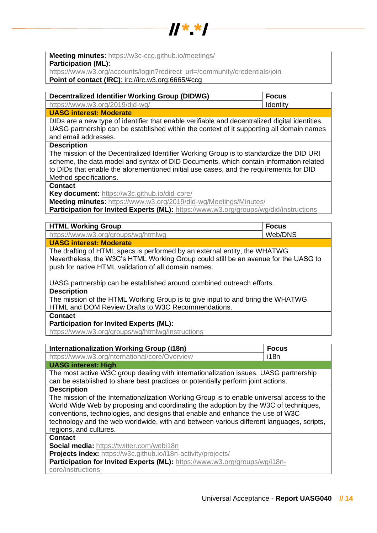

**Meeting minutes**:<https://w3c-ccg.github.io/meetings/>

**Participation (ML)**:

[https://www.w3.org/accounts/login?redirect\\_url=/community/credentials/join](https://www.w3.org/accounts/login?redirect_url=/community/credentials/join)

**Point of contact (IRC)**: irc://irc.w3.org:6665/#ccg

| https://www.w3.org/2019/did-wg/<br>Identity |  |
|---------------------------------------------|--|

## **UASG interest: Moderate**

DIDs are a new type of identifier that enable verifiable and decentralized digital identities. UASG partnership can be established within the context of it supporting all domain names and email addresses.

## **Description**

The mission of the Decentralized Identifier Working Group is to standardize the DID URI scheme, the data model and syntax of DID Documents, which contain information related to DIDs that enable the aforementioned initial use cases, and the requirements for DID Method specifications.

### **Contact**

**Key document:** <https://w3c.github.io/did-core/>

**Meeting minutes**:<https://www.w3.org/2019/did-wg/Meetings/Minutes/>

**Participation for Invited Experts (ML):** <https://www.w3.org/groups/wg/did/instructions>

| <b>HTML Working Group</b>           | <b>Focus</b> |
|-------------------------------------|--------------|
| https://www.w3.org/groups/wg/htmlwg | Web/DNS      |
|                                     |              |

## **UASG interest: Moderate**

The drafting of HTML specs is performed by an external entity, the WHATWG. Nevertheless, the W3C's HTML Working Group could still be an avenue for the UASG to push for native HTML validation of all domain names.

UASG partnership can be established around combined outreach efforts.

#### **Description**

The mission of the HTML Working Group is to give input to and bring the WHATWG HTML and DOM Review Drafts to W3C Recommendations.

## **Contact**

## **Participation for Invited Experts (ML):**

<https://www.w3.org/groups/wg/htmlwg/instructions>

| Internationalization Working Group (i18n)                                                  | <b>Focus</b> |
|--------------------------------------------------------------------------------------------|--------------|
| https://www.w3.org/nternational/core/Overview                                              | i18n         |
| <b>UASG interest: High</b>                                                                 |              |
| The most active W3C group dealing with internationalization issues. UASG partnership       |              |
| can be established to share best practices or potentially perform joint actions.           |              |
| <b>Description</b>                                                                         |              |
| The mission of the Internationalization Working Group is to enable universal access to the |              |
| World Wide Web by proposing and coordinating the adoption by the W3C of techniques,        |              |
| conventions, technologies, and designs that enable and enhance the use of W3C              |              |
| technology and the web worldwide, with and between various different languages, scripts,   |              |
| regions, and cultures.                                                                     |              |
| Contact                                                                                    |              |
| <b>Social media:</b> https://twitter.com/webi18n                                           |              |
| <b>Projects index:</b> https://w3c.github.io/i18n-activity/projects/                       |              |
| Participation for Invited Experts (ML): https://www.w3.org/groups/wg/i18n-                 |              |
| core/instructions                                                                          |              |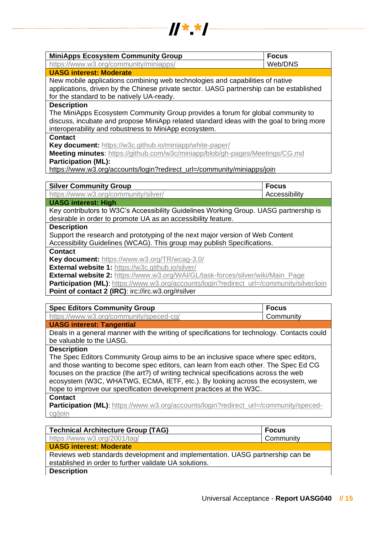

| <b>MiniApps Ecosystem Community Group</b>                                                 | <b>Focus</b>              |
|-------------------------------------------------------------------------------------------|---------------------------|
| https://www.w3.org/community/miniapps/                                                    | Web/DNS                   |
| <b>UASG interest: Moderate</b>                                                            |                           |
| New mobile applications combining web technologies and capabilities of native             |                           |
| applications, driven by the Chinese private sector. UASG partnership can be established   |                           |
| for the standard to be natively UA-ready.                                                 |                           |
| <b>Description</b>                                                                        |                           |
| The MiniApps Ecosystem Community Group provides a forum for global community to           |                           |
| discuss, incubate and propose MiniApp related standard ideas with the goal to bring more  |                           |
| interoperability and robustness to MiniApp ecosystem.                                     |                           |
| <b>Contact</b>                                                                            |                           |
| Key document: https://w3c.github.io/miniapp/white-paper/                                  |                           |
| Meeting minutes: https://github.com/w3c/miniapp/blob/gh-pages/Meetings/CG.md              |                           |
| <b>Participation (ML):</b>                                                                |                           |
| https://www.w3.org/accounts/login?redirect_url=/community/miniapps/join                   |                           |
|                                                                                           |                           |
|                                                                                           |                           |
| <b>Silver Community Group</b>                                                             | <b>Focus</b>              |
| https://www.w3.org/community/silver/                                                      | Accessibility             |
| <b>UASG interest: High</b>                                                                |                           |
| Key contributors to W3C's Accessibility Guidelines Working Group. UASG partnership is     |                           |
| desirable in order to promote UA as an accessibility feature.                             |                           |
| <b>Description</b>                                                                        |                           |
| Support the research and prototyping of the next major version of Web Content             |                           |
| Accessibility Guidelines (WCAG). This group may publish Specifications.<br><b>Contact</b> |                           |
| Key document: https://www.w3.org/TR/wcag-3.0/                                             |                           |
| External website 1: https://w3c.github.io/silver/                                         |                           |
| <b>External website 2:</b> https://www.w3.org/WAI/GL/task-forces/silver/wiki/Main_Page    |                           |
| Participation (ML): https://www.w3.org/accounts/login?redirect_url=/community/silver/join |                           |
| Point of contact 2 (IRC): irc://irc.w3.org/#silver                                        |                           |
|                                                                                           |                           |
| <b>Spec Editors Community Group</b><br>https://www.w3.org/community/speced-cg/            | <b>Focus</b><br>Community |

**UASG interest: Tangential**

Deals in a general manner with the writing of specifications for technology. Contacts could be valuable to the UASG.

#### **Description**

The Spec Editors Community Group aims to be an inclusive space where spec editors, and those wanting to become spec editors, can learn from each other. The Spec Ed CG focuses on the practice (the art?) of writing technical specifications across the web ecosystem (W3C, WHATWG, ECMA, IETF, etc.). By looking across the ecosystem, we hope to improve our specification development practices at the W3C.

#### **Contact**

**Participation (ML):** https://www.w3.org/accounts/login?redirect\_url=/community/speced[cg/join](https://www.w3.org/accounts/login?redirect_url=/community/speced-cg/join)

| <b>Technical Architecture Group (TAG)</b>                                     | <b>Focus</b> |
|-------------------------------------------------------------------------------|--------------|
| https://www.w3.org/2001/tag/                                                  | Community    |
| <b>UASG interest: Moderate</b>                                                |              |
| Reviews web standards development and implementation. UASG partnership can be |              |
| established in order to further validate UA solutions.                        |              |
| <b>Description</b>                                                            |              |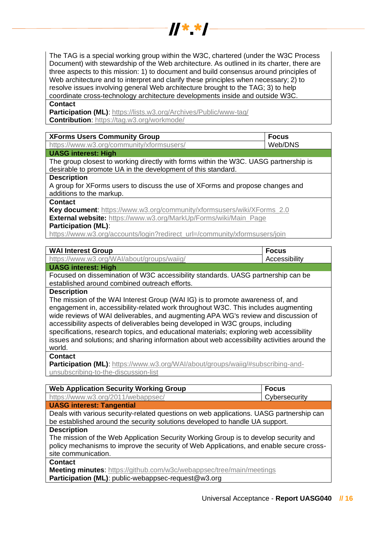

The TAG is a special working group within the W3C, chartered (under the W3C Process Document) with stewardship of the Web architecture. As outlined in its charter, there are three aspects to this mission: 1) to document and build consensus around principles of Web architecture and to interpret and clarify these principles when necessary; 2) to resolve issues involving general Web architecture brought to the TAG; 3) to help coordinate cross-technology architecture developments inside and outside W3C.

## **Contact**

**Participation (ML):** https://lists.w3.org/Archives/Public/www-tag/ **Contribution**[: https://tag.w3.org/workmode/](https://tag.w3.org/workmode/)

| <b>XForms Users Community Group</b>                                                  | <b>Focus</b> |
|--------------------------------------------------------------------------------------|--------------|
| https://www.w3.org/community/xformsusers/                                            | Web/DNS      |
| <b>UASG interest: High</b>                                                           |              |
| The group closest to working directly with forms within the W3C. UASG partnership is |              |
| desirable to promote UA in the development of this standard.                         |              |
| <b>Description</b>                                                                   |              |
| A group for XForms users to discuss the use of XForms and propose changes and        |              |
| additions to the markup.                                                             |              |
| <b>Contact</b>                                                                       |              |
| <b>Key document:</b> https://www.w3.org/community/xformsusers/wiki/XForms_2.0        |              |
| <b>External website:</b> https://www.w3.org/MarkUp/Forms/wiki/Main_Page              |              |
| <b>Participation (ML):</b>                                                           |              |
|                                                                                      |              |

[https://www.w3.org/accounts/login?redirect\\_url=/community/xformsusers/join](https://www.w3.org/accounts/login?redirect_url=/community/xformsusers/join)

| <b>WAI Interest Group</b><br><b>Focus</b> |  |
|-------------------------------------------|--|
|-------------------------------------------|--|

#### **UASG interest: High**

Focused on dissemination of W3C accessibility standards. UASG partnership can be established around combined outreach efforts.

#### **Description**

The mission of the WAI Interest Group (WAI IG) is to promote awareness of, and engagement in, accessibility-related work throughout W3C. This includes augmenting wide reviews of WAI deliverables, and augmenting APA WG's review and discussion of accessibility aspects of deliverables being developed in W3C groups, including specifications, research topics, and educational materials; exploring web accessibility issues and solutions; and sharing information about web accessibility activities around the world.

**Contact**

**Participation (ML):** https://www.w3.org/WAI/about/groups/waiig/#subscribing-and[unsubscribing-to-the-discussion-list](https://www.w3.org/WAI/about/groups/waiig/#subscribing-and-unsubscribing-to-the-discussion-list)

| <b>Web Application Security Working Group</b> | <b>Focus</b>  |
|-----------------------------------------------|---------------|
| https://www.w3.org/2011/webappsec/            | Cybersecurity |
| <b>UASG interest: Tangential</b>              |               |

Deals with various security-related questions on web applications. UASG partnership can be established around the security solutions developed to handle UA support.

#### **Description**

The mission of the Web Application Security Working Group is to develop security and policy mechanisms to improve the security of Web Applications, and enable secure crosssite communication.

**Contact**

**Meeting minutes**:<https://github.com/w3c/webappsec/tree/main/meetings> **Participation (ML)**: public-webappsec-request@w3.org

Accessibility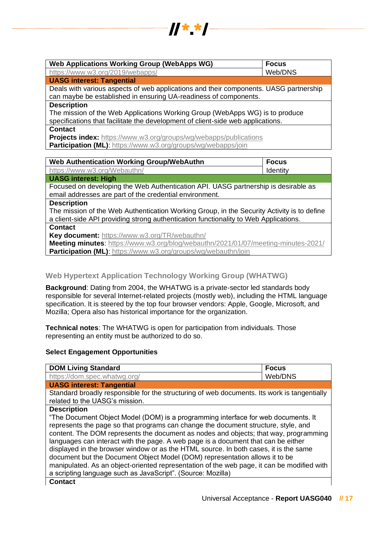

| <b>Web Applications Working Group (WebApps WG)</b>                                    | <b>Focus</b> |
|---------------------------------------------------------------------------------------|--------------|
| https://www.w3.org/2019/webapps/                                                      | Web/DNS      |
| <b>UASG interest: Tangential</b>                                                      |              |
| Deals with various aspects of web applications and their components. UASG partnership |              |
| can maybe be established in ensuring UA-readiness of components.                      |              |
| <b>Description</b>                                                                    |              |
| The mission of the Web Applications Working Group (WebApps WG) is to produce          |              |
| specifications that facilitate the development of client-side web applications.       |              |
| <b>Contact</b>                                                                        |              |
| <b>Projects index:</b> https://www.w3.org/groups/wg/webapps/publications              |              |
| <b>Participation (ML):</b> https://www.w3.org/groups/wg/webapps/join                  |              |
|                                                                                       |              |
| Web Authentication Working Group/WebAuthn                                             | <b>Focus</b> |

| Web Authentication Working Group/WebAuthn                                                  | <b>Focus</b> |
|--------------------------------------------------------------------------------------------|--------------|
| https://www.w3.org/Webauthn/                                                               | Identity     |
| <b>UASG interest: High</b>                                                                 |              |
| Focused on developing the Web Authentication API. UASG partnership is desirable as         |              |
| email addresses are part of the credential environment.                                    |              |
| <b>Description</b>                                                                         |              |
| The mission of the Web Authentication Working Group, in the Security Activity is to define |              |
| a client-side API providing strong authentication functionality to Web Applications.       |              |
| <b>Contact</b>                                                                             |              |
| Key document: https://www.w3.org/TR/webauthn/                                              |              |
| Meeting minutes: https://www.w3.org/blog/webauthn/2021/01/07/meeting-minutes-2021/         |              |
| <b>Participation (ML):</b> https://www.w3.org/groups/wg/webauthn/join                      |              |

## <span id="page-16-0"></span>**Web Hypertext Application Technology Working Group (WHATWG)**

**Background**: Dating from 2004, the WHATWG is a private-sector led standards body responsible for several Internet-related projects (mostly web), including the HTML language specification. It is steered by the top four browser vendors: Apple, Google, Microsoft, and Mozilla; Opera also has historical importance for the organization.

**Technical notes**: The WHATWG is open for participation from individuals. Those representing an entity must be authorized to do so.

#### **Select Engagement Opportunities**

| <b>DOM Living Standard</b>                                                                                                                                                                                                                                      | <b>Focus</b> |
|-----------------------------------------------------------------------------------------------------------------------------------------------------------------------------------------------------------------------------------------------------------------|--------------|
| https://dom.spec.whatwg.org/                                                                                                                                                                                                                                    | Web/DNS      |
| <b>UASG interest: Tangential</b>                                                                                                                                                                                                                                |              |
| Standard broadly responsible for the structuring of web documents. Its work is tangentially<br>related to the UASG's mission.                                                                                                                                   |              |
| <b>Description</b>                                                                                                                                                                                                                                              |              |
| "The Document Object Model (DOM) is a programming interface for web documents. It<br>represents the page so that programs can change the document structure, style, and<br>content. The DOM represents the document as nodes and objects; that way, programming |              |
| languages can interact with the page. A web page is a document that can be either<br>displayed in the browser window or as the HTML source. In both cases, it is the same<br>document but the Document Object Model (DOM) representation allows it to be        |              |
| manipulated. As an object-oriented representation of the web page, it can be modified with<br>a scripting language such as JavaScript". (Source: Mozilla)                                                                                                       |              |
| <b>Contact</b>                                                                                                                                                                                                                                                  |              |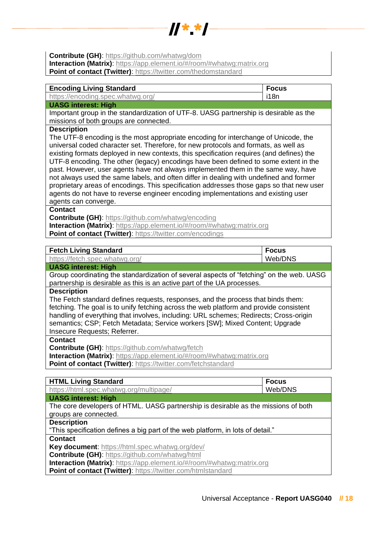

**Contribute (GH):**<https://github.com/whatwg/dom>

**Interaction (Matrix):** [https://app.element.io/#/room/#whatwg:matrix.org](https://app.element.io/#/room/)

**Point of contact (Twitter)**:<https://twitter.com/thedomstandard>

| <b>Encoding Living Standard</b>   | ∣ Focus  |
|-----------------------------------|----------|
| https://encoding.spec.whatwg.org/ | $ $ i18n |
| <b>UASG interest: High</b>        |          |

Important group in the standardization of UTF-8. UASG partnership is desirable as the missions of both groups are connected.

#### **Description**

The UTF-8 encoding is the most appropriate encoding for interchange of Unicode, the universal coded character set. Therefore, for new protocols and formats, as well as existing formats deployed in new contexts, this specification requires (and defines) the UTF-8 encoding. The other (legacy) encodings have been defined to some extent in the past. However, user agents have not always implemented them in the same way, have not always used the same labels, and often differ in dealing with undefined and former proprietary areas of encodings. This specification addresses those gaps so that new user agents do not have to reverse engineer encoding implementations and existing user agents can converge.

#### **Contact**

**Contribute (GH)**:<https://github.com/whatwg/encoding>

**Interaction (Matrix)**: [https://app.element.io/#/room/#whatwg:matrix.org](https://app.element.io/#/room/) **Point of contact (Twitter):<https://twitter.com/encodings>** 

| <b>Fetch Living Standard</b>                                                                                                                                                                                                                                                                                                                                                        | <b>Focus</b> |
|-------------------------------------------------------------------------------------------------------------------------------------------------------------------------------------------------------------------------------------------------------------------------------------------------------------------------------------------------------------------------------------|--------------|
| https://fetch.spec.whatwg.org/                                                                                                                                                                                                                                                                                                                                                      | Web/DNS      |
| <b>UASG interest: High</b>                                                                                                                                                                                                                                                                                                                                                          |              |
| Group coordinating the standardization of several aspects of "fetching" on the web. UASG<br>partnership is desirable as this is an active part of the UA processes.                                                                                                                                                                                                                 |              |
| <b>Description</b>                                                                                                                                                                                                                                                                                                                                                                  |              |
| The Fetch standard defines requests, responses, and the process that binds them:<br>fetching. The goal is to unify fetching across the web platform and provide consistent<br>handling of everything that involves, including: URL schemes; Redirects; Cross-origin<br>semantics; CSP; Fetch Metadata; Service workers [SW]; Mixed Content; Upgrade<br>Insecure Requests; Referrer. |              |
| <b>Contact</b>                                                                                                                                                                                                                                                                                                                                                                      |              |
| Contribute (GH): https://github.com/whatwg/fetch                                                                                                                                                                                                                                                                                                                                    |              |
| <b>Interaction (Matrix):</b> https://app.element.io/#/room/#whatwg:matrix.org                                                                                                                                                                                                                                                                                                       |              |

**Point of contact (Twitter)**:<https://twitter.com/fetchstandard>

| <b>HTML Living Standard</b>                                                        | <b>Focus</b> |
|------------------------------------------------------------------------------------|--------------|
| https://html.spec.whatwg.org/multipage/                                            | Web/DNS      |
| <b>UASG interest: High</b>                                                         |              |
| The core developers of HTML. UASG partnership is desirable as the missions of both |              |
| groups are connected.                                                              |              |
| <b>Description</b>                                                                 |              |
| "This specification defines a big part of the web platform, in lots of detail."    |              |
| <b>Contact</b>                                                                     |              |
| Key document: https://html.spec.whatwg.org/dev/                                    |              |
| <b>Contribute (GH): https://github.com/whatwg/html</b>                             |              |
| Interaction (Matrix): https://app.element.io/#/room/#whatwg:matrix.org             |              |
| Point of contact (Twitter): https://twitter.com/htmlstandard                       |              |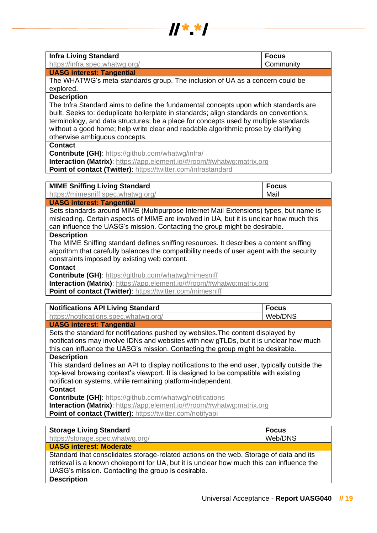

| <b>Infra Living Standard</b>                                                           | <b>Focus</b> |
|----------------------------------------------------------------------------------------|--------------|
| https://infra.spec.whatwg.org/                                                         | Community    |
| <b>UASG interest: Tangential</b>                                                       |              |
| The WHATWG's meta-standards group. The inclusion of UA as a concern could be           |              |
| explored.                                                                              |              |
| <b>Description</b>                                                                     |              |
| The Infra Standard aims to define the fundamental concepts upon which standards are    |              |
| built. Seeks to: deduplicate boilerplate in standards; align standards on conventions, |              |
| terminology, and data structures; be a place for concepts used by multiple standards   |              |
| without a good home; help write clear and readable algorithmic prose by clarifying     |              |
| otherwise ambiguous concepts.                                                          |              |
| <b>Contact</b>                                                                         |              |
| <b>Contribute (GH): https://github.com/whatwg/infra/</b>                               |              |
| Interaction (Matrix): https://app.element.io/#/room/#whatwg:matrix.org                 |              |
| Point of contact (Twitter): https://twitter.com/infrastandard                          |              |
|                                                                                        |              |
| <b>MIME Sniffing Living Standard</b>                                                   | <b>Focus</b> |
| https://mimesniff.spec.whatwg.org/                                                     | Mail         |

## **UASG interest: Tangential**

Sets standards around MIME (Multipurpose Internet Mail Extensions) types, but name is misleading. Certain aspects of MIME are involved in UA, but it is unclear how much this can influence the UASG's mission. Contacting the group might be desirable.

## **Description**

The MIME Sniffing standard defines sniffing resources. It describes a content sniffing algorithm that carefully balances the compatibility needs of user agent with the security constraints imposed by existing web content.

## **Contact**

**Contribute (GH)**:<https://github.com/whatwg/mimesniff>

**Interaction (Matrix)**: [https://app.element.io/#/room/#whatwg:matrix.org](https://app.element.io/#/room/)

**Point of contact (Twitter)**:<https://twitter.com/mimesniff>

| <b>Notifications API Living Standard</b>                                                     | <b>Focus</b> |
|----------------------------------------------------------------------------------------------|--------------|
| https://notifications.spec.whatwg.org/                                                       | Web/DNS      |
| <b>UASG interest: Tangential</b>                                                             |              |
| Sets the standard for notifications pushed by websites. The content displayed by             |              |
| notifications may involve IDNs and websites with new gTLDs, but it is unclear how much       |              |
| this can influence the UASG's mission. Contacting the group might be desirable.              |              |
| <b>Description</b>                                                                           |              |
| This standard defines an API to display notifications to the end user, typically outside the |              |
| top-level browsing context's viewport. It is designed to be compatible with existing         |              |
| notification systems, while remaining platform-independent.                                  |              |
| <b>Contact</b>                                                                               |              |
| <b>Contribute (GH): https://github.com/whatwg/notifications</b>                              |              |
| <b>Interaction (Matrix):</b> https://app.element.io/#/room/#whatwg:matrix.org                |              |
| Point of contact (Twitter): https://twitter.com/notifyapi                                    |              |

| <b>Storage Living Standard</b>                                                            | <b>Focus</b> |
|-------------------------------------------------------------------------------------------|--------------|
| https://storage.spec.whatwg.org/                                                          | Web/DNS      |
| <b>UASG interest: Moderate</b>                                                            |              |
| Standard that consolidates storage-related actions on the web. Storage of data and its    |              |
| retrieval is a known chokepoint for UA, but it is unclear how much this can influence the |              |
| UASG's mission. Contacting the group is desirable.                                        |              |

## **Description**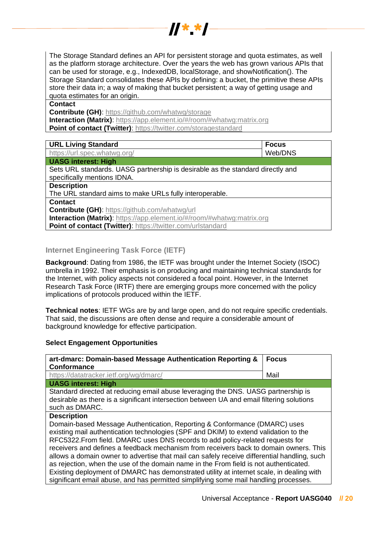The Storage Standard defines an API for persistent storage and quota estimates, as well as the platform storage architecture. Over the years the web has grown various APIs that can be used for storage, e.g., IndexedDB, localStorage, and showNotification(). The Storage Standard consolidates these APIs by defining: a bucket, the primitive these APIs store their data in; a way of making that bucket persistent; a way of getting usage and quota estimates for an origin.

 $\frac{1}{2}$   $\frac{1}{2}$   $\frac{1}{2}$   $\frac{1}{2}$   $\frac{1}{2}$   $\frac{1}{2}$ 

**Contact**

**Contribute (GH)**:<https://github.com/whatwg/storage> **Interaction (Matrix)**: [https://app.element.io/#/room/#whatwg:matrix.org](https://app.element.io/#/room/) **Point of contact (Twitter)**:<https://twitter.com/storagestandard>

| <b>URL Living Standard</b>                                                     | <b>Focus</b> |
|--------------------------------------------------------------------------------|--------------|
| https://url.spec.whatwg.org/                                                   | Web/DNS      |
| <b>UASG interest: High</b>                                                     |              |
| Sets URL standards. UASG partnership is desirable as the standard directly and |              |
| specifically mentions IDNA.                                                    |              |
| <b>Description</b>                                                             |              |
| The URL standard aims to make URLs fully interoperable.                        |              |
| <b>Contact</b>                                                                 |              |
| <b>Contribute (GH): https://github.com/whatwg/url</b>                          |              |
| <b>Interaction (Matrix):</b> https://app.element.io/#/room/#whatwg:matrix.org  |              |
| Point of contact (Twitter): https://twitter.com/urlstandard                    |              |
|                                                                                |              |

## <span id="page-19-0"></span>**Internet Engineering Task Force (IETF)**

**Background**: Dating from 1986, the IETF was brought under the Internet Society (ISOC) umbrella in 1992. Their emphasis is on producing and maintaining technical standards for the Internet, with policy aspects not considered a focal point. However, in the Internet Research Task Force (IRTF) there are emerging groups more concerned with the policy implications of protocols produced within the IETF.

**Technical notes**: IETF WGs are by and large open, and do not require specific credentials. That said, the discussions are often dense and require a considerable amount of background knowledge for effective participation.

## **Select Engagement Opportunities**

| art-dmarc: Domain-based Message Authentication Reporting &<br><b>Conformance</b>                                                                                                                                                                                                                                                                                                                                                                                                                                                                                                                                                                                                                                                               | <b>Focus</b> |
|------------------------------------------------------------------------------------------------------------------------------------------------------------------------------------------------------------------------------------------------------------------------------------------------------------------------------------------------------------------------------------------------------------------------------------------------------------------------------------------------------------------------------------------------------------------------------------------------------------------------------------------------------------------------------------------------------------------------------------------------|--------------|
| https://datatracker.ietf.org/wg/dmarc/                                                                                                                                                                                                                                                                                                                                                                                                                                                                                                                                                                                                                                                                                                         | Mail         |
| <b>UASG interest: High</b>                                                                                                                                                                                                                                                                                                                                                                                                                                                                                                                                                                                                                                                                                                                     |              |
| Standard directed at reducing email abuse leveraging the DNS. UASG partnership is<br>desirable as there is a significant intersection between UA and email filtering solutions<br>such as DMARC.                                                                                                                                                                                                                                                                                                                                                                                                                                                                                                                                               |              |
| <b>Description</b><br>Domain-based Message Authentication, Reporting & Conformance (DMARC) uses<br>existing mail authentication technologies (SPF and DKIM) to extend validation to the<br>RFC5322. From field. DMARC uses DNS records to add policy-related requests for<br>receivers and defines a feedback mechanism from receivers back to domain owners. This<br>allows a domain owner to advertise that mail can safely receive differential handling, such<br>as rejection, when the use of the domain name in the From field is not authenticated.<br>Existing deployment of DMARC has demonstrated utility at internet scale, in dealing with<br>significant email abuse, and has permitted simplifying some mail handling processes. |              |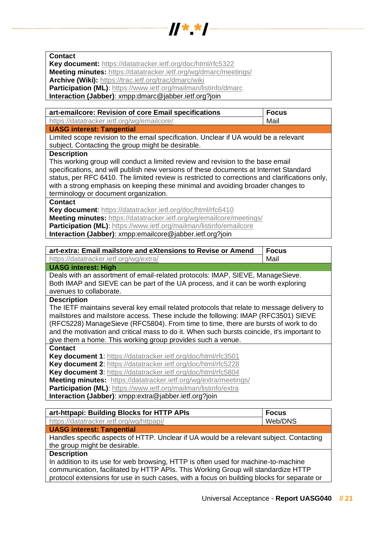

| <b>Contact</b>                                                                                                                            |              |
|-------------------------------------------------------------------------------------------------------------------------------------------|--------------|
| Key document: https://datatracker.ietf.org/doc/html/rfc5322                                                                               |              |
| Meeting minutes: https://datatracker.ietf.org/wg/dmarc/meetings/                                                                          |              |
| Archive (Wiki): https://trac.ietf.org/trac/dmarc/wiki                                                                                     |              |
| Participation (ML): https://www.ietf.org/mailman/listinfo/dmarc                                                                           |              |
| Interaction (Jabber): xmpp:dmarc@jabber.ietf.org?join                                                                                     |              |
|                                                                                                                                           |              |
| art-emailcore: Revision of core Email specifications                                                                                      | <b>Focus</b> |
| https://datatracker.ietf.org/wg/emailcore/                                                                                                | Mail         |
| <b>UASG interest: Tangential</b>                                                                                                          |              |
| Limited scope revision to the email specification. Unclear if UA would be a relevant<br>subject. Contacting the group might be desirable. |              |
| <b>Description</b>                                                                                                                        |              |
| This working group will conduct a limited review and revision to the base email                                                           |              |
| specifications, and will publish new versions of these documents at Internet Standard                                                     |              |
| status, per RFC 6410. The limited review is restricted to corrections and clarifications only,                                            |              |
| with a strong emphasis on keeping these minimal and avoiding broader changes to                                                           |              |
| terminology or document organization.                                                                                                     |              |
| <b>Contact</b>                                                                                                                            |              |
|                                                                                                                                           |              |
| Key document: https://datatracker.ietf.org/doc/html/rfc6410                                                                               |              |
| Meeting minutes: https://datatracker.ietf.org/wg/emailcore/meetings/                                                                      |              |
| Participation (ML): https://www.ietf.org/mailman/listinfo/emailcore                                                                       |              |
|                                                                                                                                           |              |
| Interaction (Jabber): xmpp:emailcore@jabber.ietf.org?join                                                                                 |              |
|                                                                                                                                           |              |
| art-extra: Email mailstore and eXtensions to Revise or Amend                                                                              | <b>Focus</b> |
| https://datatracker.ietf.org/wg/extra/                                                                                                    | Mail         |
| <b>UASG interest: High</b>                                                                                                                |              |
| Deals with an assortment of email-related protocols: IMAP, SIEVE, ManageSieve.                                                            |              |
| Both IMAP and SIEVE can be part of the UA process, and it can be worth exploring                                                          |              |
| avenues to collaborate.                                                                                                                   |              |
| <b>Description</b>                                                                                                                        |              |
|                                                                                                                                           |              |
| The IETF maintains several key email related protocols that relate to message delivery to                                                 |              |
| mailstores and mailstore access. These include the following: IMAP (RFC3501) SIEVE                                                        |              |
| (RFC5228) ManageSieve (RFC5804). From time to time, there are bursts of work to do                                                        |              |
| and the motivation and critical mass to do it. When such bursts coincide, it's important to                                               |              |
| give them a home. This working group provides such a venue.                                                                               |              |
| <b>Contact</b>                                                                                                                            |              |
| Key document 1: https://datatracker.ietf.org/doc/html/rfc3501                                                                             |              |
| Key document 2: https://datatracker.ietf.org/doc/html/rfc5228                                                                             |              |
| Key document 3: https://datatracker.ietf.org/doc/html/rfc5804                                                                             |              |
| Meeting minutes: https://datatracker.ietf.org/wg/extra/meetings/                                                                          |              |
| Participation (ML): https://www.ietf.org/mailman/listinfo/extra                                                                           |              |
| Interaction (Jabber): xmpp:extra@jabber.ietf.org?join                                                                                     |              |

| art-httpapi: Building Blocks for HTTP APIs                                                                                                                                                 | <b>Focus</b> |
|--------------------------------------------------------------------------------------------------------------------------------------------------------------------------------------------|--------------|
| https://datatracker.ietf.org/wg/httpapi/                                                                                                                                                   | Web/DNS      |
| <b>UASG interest: Tangential</b>                                                                                                                                                           |              |
| Handles specific aspects of HTTP. Unclear if UA would be a relevant subject. Contacting                                                                                                    |              |
| the group might be desirable.                                                                                                                                                              |              |
| <b>Description</b>                                                                                                                                                                         |              |
| In addition to its use for web browsing, HTTP is often used for machine-to-machine<br>LITTD - And the United States of Little And This Michigan Carrier all about a development of TTD - A |              |

communication, facilitated by HTTP APIs. This Working Group will standardize HTTP protocol extensions for use in such cases, with a focus on building blocks for separate or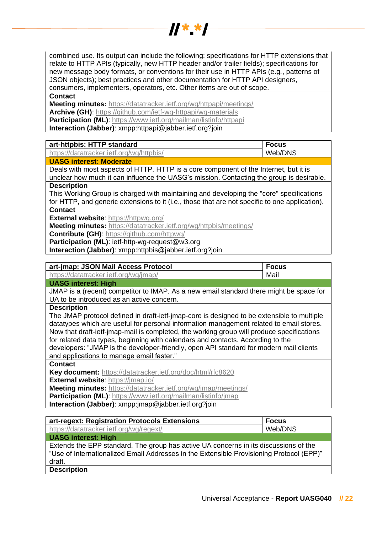combined use. Its output can include the following: specifications for HTTP extensions that relate to HTTP APIs (typically, new HTTP header and/or trailer fields); specifications for new message body formats, or conventions for their use in HTTP APIs (e.g., patterns of JSON objects); best practices and other documentation for HTTP API designers, consumers, implementers, operators, etc. Other items are out of scope.

 $\frac{1}{2}$   $\frac{1}{2}$   $\frac{1}{2}$   $\frac{1}{2}$   $\frac{1}{2}$   $\frac{1}{2}$   $\frac{1}{2}$   $\frac{1}{2}$   $\frac{1}{2}$   $\frac{1}{2}$ 

**Contact**

**Meeting minutes:** <https://datatracker.ietf.org/wg/httpapi/meetings/> **Archive (GH)**:<https://github.com/ietf-wg-httpapi/wg-materials> **Participation (ML)**[: https://www.ietf.org/mailman/listinfo/httpapi](https://www.ietf.org/mailman/listinfo/httpapi) **Interaction (Jabber)**: xmpp:httpapi@jabber.ietf.org?join

| art-httpbis: HTTP standard                                                                     | <b>Focus</b> |
|------------------------------------------------------------------------------------------------|--------------|
| https://datatracker.ietf.org/wg/httpbis/                                                       | Web/DNS      |
| <b>UASG interest: Moderate</b>                                                                 |              |
| Deals with most aspects of HTTP. HTTP is a core component of the Internet, but it is           |              |
| unclear how much it can influence the UASG's mission. Contacting the group is desirable.       |              |
| <b>Description</b>                                                                             |              |
| This Working Group is charged with maintaining and developing the "core" specifications        |              |
| for HTTP, and generic extensions to it (i.e., those that are not specific to one application). |              |
| <b>Contact</b>                                                                                 |              |
| <b>External website: https://httpwg.org/</b>                                                   |              |

**Meeting minutes:** <https://datatracker.ietf.org/wg/httpbis/meetings/>

**Contribute (GH)**:<https://github.com/httpwg/>

**Participation (ML)**: ietf-http-wg-request@w3.org

**Interaction (Jabber)**: xmpp:httpbis@jabber.ietf.org?join

| art-jmap: JSON Mail Access Protocol                                                        | <b>Focus</b> |
|--------------------------------------------------------------------------------------------|--------------|
| https://datatracker.ietf.org/wg/jmap/                                                      | Mail         |
| <b>UASG interest: High</b>                                                                 |              |
| JMAP is a (recent) competitor to IMAP. As a new email standard there might be space for    |              |
| UA to be introduced as an active concern.                                                  |              |
| <b>Description</b>                                                                         |              |
| The JMAP protocol defined in draft-ietf-jmap-core is designed to be extensible to multiple |              |
| datatypes which are useful for personal information management related to email stores.    |              |
| Now that draft-ietf-jmap-mail is completed, the working group will produce specifications  |              |
| for related data types, beginning with calendars and contacts. According to the            |              |
| developers: "JMAP is the developer-friendly, open API standard for modern mail clients     |              |
| and applications to manage email faster."                                                  |              |
| <b>Contact</b>                                                                             |              |
| Key document: https://datatracker.ietf.org/doc/html/rfc8620                                |              |
| External website: https://jmap.io/                                                         |              |
| Meeting minutes: https://datatracker.ietf.org/wg/jmap/meetings/                            |              |
| Participation (ML): https://www.ietf.org/mailman/listinfo/jmap                             |              |
| Interaction (Jabber): xmpp:jmap@jabber.ietf.org?join                                       |              |

| art-regext: Registration Protocols Extensions                                            | <b>Focus</b> |
|------------------------------------------------------------------------------------------|--------------|
| https://datatracker.ietf.org/wg/regext/                                                  | Web/DNS      |
| <b>UASG interest: High</b>                                                               |              |
| Extends the EPP standard. The group has active UA concerns in its discussions of the     |              |
| "Use of Internationalized Email Addresses in the Extensible Provisioning Protocol (EPP)" |              |
| draft.                                                                                   |              |
|                                                                                          |              |

**Description**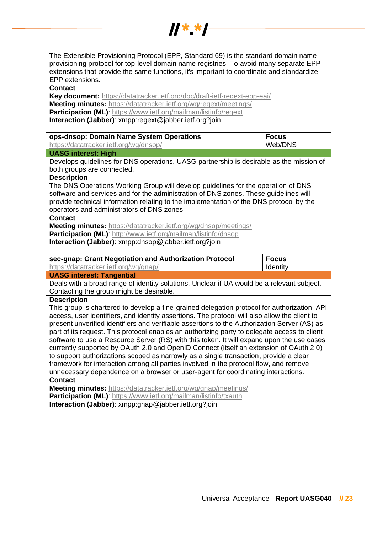

The Extensible Provisioning Protocol (EPP, Standard 69) is the standard domain name provisioning protocol for top-level domain name registries. To avoid many separate EPP extensions that provide the same functions, it's important to coordinate and standardize EPP extensions.

#### **Contact**

**Key document:** <https://datatracker.ietf.org/doc/draft-ietf-regext-epp-eai/> **Meeting minutes:** <https://datatracker.ietf.org/wg/regext/meetings/> **Participation (ML)**[: https://www.ietf.org/mailman/listinfo/regext](https://www.ietf.org/mailman/listinfo/regext)

**Interaction (Jabber)**: xmpp:regext@jabber.ietf.org?join

| ops-dnsop: Domain Name System Operations                                                   | <b>Focus</b> |
|--------------------------------------------------------------------------------------------|--------------|
| https://datatracker.ietf.org/wg/dnsop/                                                     | Web/DNS      |
| <b>UASG interest: High</b>                                                                 |              |
| Develops guidelines for DNS operations. UASG partnership is desirable as the mission of    |              |
| both groups are connected.                                                                 |              |
| <b>Description</b>                                                                         |              |
| The DNS Operations Working Group will develop guidelines for the operation of DNS          |              |
| software and services and for the administration of DNS zones. These guidelines will       |              |
| provide technical information relating to the implementation of the DNS protocol by the    |              |
| operators and administrators of DNS zones.                                                 |              |
| <b>Contact</b>                                                                             |              |
| Meeting minutes: https://datatracker.ietf.org/wg/dnsop/meetings/                           |              |
| Participation (ML): http://www.ietf.org/mailman/listinfo/dnsop                             |              |
| Interaction (Jabber): xmpp:dnsop@jabber.ietf.org?join                                      |              |
|                                                                                            |              |
| sec-gnap: Grant Negotiation and Authorization Protocol                                     | <b>Focus</b> |
| https://datatracker.ietf.org/wg/gnap/                                                      | Identity     |
| <b>UASG interest: Tangential</b>                                                           |              |
| Deals with a broad range of identity solutions. Unclear if UA would be a relevant subject. |              |
| Contacting the group might be desirable.                                                   |              |

#### **Description**

This group is chartered to develop a fine-grained delegation protocol for authorization, API access, user identifiers, and identity assertions. The protocol will also allow the client to present unverified identifiers and verifiable assertions to the Authorization Server (AS) as part of its request. This protocol enables an authorizing party to delegate access to client software to use a Resource Server (RS) with this token. It will expand upon the use cases currently supported by OAuth 2.0 and OpenID Connect (itself an extension of OAuth 2.0) to support authorizations scoped as narrowly as a single transaction, provide a clear framework for interaction among all parties involved in the protocol flow, and remove unnecessary dependence on a browser or user-agent for coordinating interactions. **Contact**

**Meeting minutes:** <https://datatracker.ietf.org/wg/gnap/meetings/> **Participation (ML):** https://www.ietf.org/mailman/listinfo/txauth

**Interaction (Jabber)**: xmpp:gnap@jabber.ietf.org?join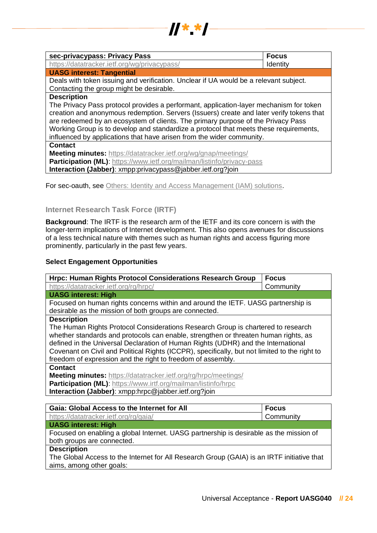

| sec-privacypass: Privacy Pass                                                                                                                                                                                                                                                                                                                                                                                                                                  | <b>Focus</b> |
|----------------------------------------------------------------------------------------------------------------------------------------------------------------------------------------------------------------------------------------------------------------------------------------------------------------------------------------------------------------------------------------------------------------------------------------------------------------|--------------|
| https://datatracker.ietf.org/wg/privacypass/                                                                                                                                                                                                                                                                                                                                                                                                                   | Identity     |
| <b>UASG interest: Tangential</b>                                                                                                                                                                                                                                                                                                                                                                                                                               |              |
| Deals with token issuing and verification. Unclear if UA would be a relevant subject.<br>Contacting the group might be desirable.                                                                                                                                                                                                                                                                                                                              |              |
| <b>Description</b><br>The Privacy Pass protocol provides a performant, application-layer mechanism for token<br>creation and anonymous redemption. Servers (Issuers) create and later verify tokens that<br>are redeemed by an ecosystem of clients. The primary purpose of the Privacy Pass<br>Working Group is to develop and standardize a protocol that meets these requirements,<br>influenced by applications that have arisen from the wider community. |              |
| <b>Contact</b><br><b>Meeting minutes:</b> https://datatracker.ietf.org/wg/gnap/meetings/<br>Participation (ML): https://www.ietf.org/mailman/listinfo/privacy-pass<br>Interaction (Jabber): xmpp:privacypass@jabber.ietf.org?join                                                                                                                                                                                                                              |              |

For sec-oauth, see [Others: Identity and Access Management \(IAM\) solutions.](#page-33-0)

## <span id="page-23-0"></span>**Internet Research Task Force (IRTF)**

**Background**: The IRTF is the research arm of the IETF and its core concern is with the longer-term implications of Internet development. This also opens avenues for discussions of a less technical nature with themes such as human rights and access figuring more prominently, particularly in the past few years.

## **Select Engagement Opportunities**

| Hrpc: Human Rights Protocol Considerations Research Group                                                                                  | <b>Focus</b> |
|--------------------------------------------------------------------------------------------------------------------------------------------|--------------|
| https://datatracker.ietf.org/rg/hrpc/                                                                                                      | Community    |
| <b>UASG interest: High</b>                                                                                                                 |              |
| Focused on human rights concerns within and around the IETF. UASG partnership is<br>desirable as the mission of both groups are connected. |              |
| <b>Description</b>                                                                                                                         |              |
| The Human Rights Protocol Considerations Research Group is chartered to research                                                           |              |
| whether standards and protocols can enable, strengthen or threaten human rights, as                                                        |              |
| defined in the Universal Declaration of Human Rights (UDHR) and the International                                                          |              |
| Covenant on Civil and Political Rights (ICCPR), specifically, but not limited to the right to                                              |              |
| freedom of expression and the right to freedom of assembly.                                                                                |              |
| <b>Contact</b>                                                                                                                             |              |
| Meeting minutes: https://datatracker.ietf.org/rg/hrpc/meetings/                                                                            |              |
| Participation (ML): https://www.irtf.org/mailman/listinfo/hrpc                                                                             |              |
| Interaction (Jabber): xmpp:hrpc@jabber.ietf.org?join                                                                                       |              |

| <b>Gaia: Global Access to the Internet for All</b>                                         | <b>Focus</b> |
|--------------------------------------------------------------------------------------------|--------------|
| https://datatracker.ietf.org/rg/gaia/                                                      | Community    |
| <b>UASG interest: High</b>                                                                 |              |
| Focused on enabling a global Internet. UASG partnership is desirable as the mission of     |              |
| both groups are connected.                                                                 |              |
| <b>Description</b>                                                                         |              |
| The Global Access to the Internet for All Research Group (GAIA) is an IRTF initiative that |              |
| aims, among other goals:                                                                   |              |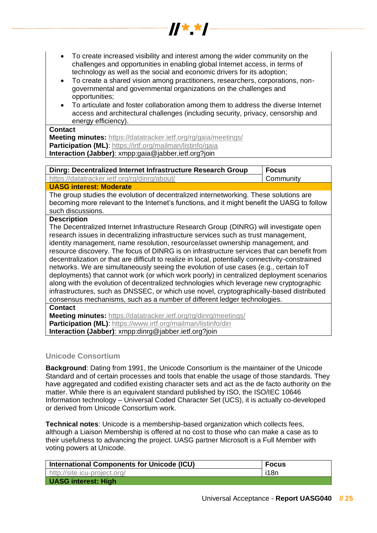• To create increased visibility and interest among the wider community on the challenges and opportunities in enabling global Internet access, in terms of technology as well as the social and economic drivers for its adoption;

 $\frac{1}{2}$ 

- To create a shared vision among practitioners, researchers, corporations, nongovernmental and governmental organizations on the challenges and opportunities;
- To articulate and foster collaboration among them to address the diverse Internet access and architectural challenges (including security, privacy, censorship and energy efficiency).

#### **Contact**

**Meeting minutes:** <https://datatracker.ietf.org/rg/gaia/meetings/> **Participation (ML):** https://irtf.org/mailman/listinfo/gaia **Interaction (Jabber)**: xmpp:gaia@jabber.ietf.org?join

| Dinrg: Decentralized Internet Infrastructure Research Group | l Focus   |
|-------------------------------------------------------------|-----------|
| https://datatracker.ietf.org/rg/dinrg/about/                | Community |
| <b>ILAOO MARAY ALAMAN DIA MARAY ARTISTS</b>                 |           |

## **UASG interest: Moderate**

The group studies the evolution of decentralized internetworking. These solutions are becoming more relevant to the Internet's functions, and it might benefit the UASG to follow such discussions.

## **Description**

The Decentralized Internet Infrastructure Research Group (DINRG) will investigate open research issues in decentralizing infrastructure services such as trust management, identity management, name resolution, resource/asset ownership management, and resource discovery. The focus of DINRG is on infrastructure services that can benefit from decentralization or that are difficult to realize in local, potentially connectivity-constrained networks. We are simultaneously seeing the evolution of use cases (e.g., certain IoT deployments) that cannot work (or which work poorly) in centralized deployment scenarios along with the evolution of decentralized technologies which leverage new cryptographic infrastructures, such as DNSSEC, or which use novel, cryptographically-based distributed consensus mechanisms, such as a number of different ledger technologies.

**Contact**

**Meeting minutes:** <https://datatracker.ietf.org/rg/dinrg/meetings/> **Participation (ML)**[: https://www.irtf.org/mailman/listinfo/din](https://www.irtf.org/mailman/listinfo/din)

**Interaction (Jabber)**: xmpp:dinrg@jabber.ietf.org?join

## <span id="page-24-0"></span>**Unicode Consortium**

**Background**: Dating from 1991, the Unicode Consortium is the maintainer of the Unicode Standard and of certain processes and tools that enable the usage of those standards. They have aggregated and codified existing character sets and act as the de facto authority on the matter. While there is an equivalent standard published by ISO, the ISO/IEC 10646 Information technology – Universal Coded Character Set (UCS), it is actually co-developed or derived from Unicode Consortium work.

**Technical notes**: Unicode is a membership-based organization which collects fees, although a Liaison Membership is offered at no cost to those who can make a case as to their usefulness to advancing the project. UASG partner Microsoft is a Full Member with voting powers at Unicode.

| International Components for Unicode (ICU) | <b>Focus</b> |
|--------------------------------------------|--------------|
| http://site.icu-project.org/               | i18n         |
| <b>UASG interest: High</b>                 |              |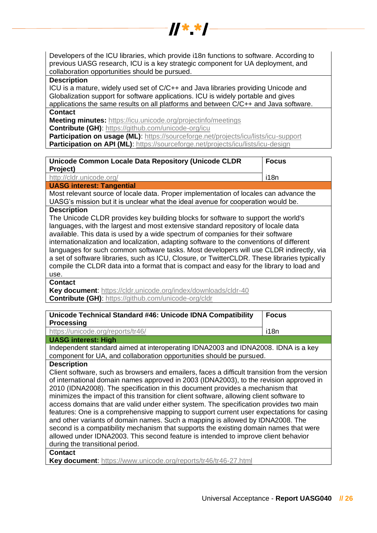Developers of the ICU libraries, which provide i18n functions to software. According to previous UASG research, ICU is a key strategic component for UA deployment, and collaboration opportunities should be pursued.

 $\frac{1}{2}$   $\frac{1}{2}$   $\frac{1}{2}$   $\frac{1}{2}$   $\frac{1}{2}$   $\frac{1}{2}$   $\frac{1}{2}$   $\frac{1}{2}$   $\frac{1}{2}$   $\frac{1}{2}$ 

#### **Description**

ICU is a mature, widely used set of C/C++ and Java libraries providing Unicode and Globalization support for software applications. ICU is widely portable and gives applications the same results on all platforms and between C/C++ and Java software.

## **Contact**

**Meeting minutes:** <https://icu.unicode.org/projectinfo/meetings> **Contribute (GH)**:<https://github.com/unicode-org/icu>

**Participation on usage (ML):**<https://sourceforge.net/projects/icu/lists/icu-support> **Participation on API (ML):**<https://sourceforge.net/projects/icu/lists/icu-design>

| Unicode Common Locale Data Repository (Unicode CLDR                                   | <b>Focus</b> |
|---------------------------------------------------------------------------------------|--------------|
| <b>Project)</b>                                                                       |              |
| http://cldr.unicode.org/                                                              | i18n         |
| <b>UASG interest: Tangential</b>                                                      |              |
| Most relevant source of locale data. Proper implementation of locales can advance the |              |

UASG's mission but it is unclear what the ideal avenue for cooperation would be.

#### **Description**

The Unicode CLDR provides key building blocks for software to support the world's languages, with the largest and most extensive standard repository of locale data available. This data is used by a wide spectrum of companies for their software internationalization and localization, adapting software to the conventions of different languages for such common software tasks. Most developers will use CLDR indirectly, via a set of software libraries, such as ICU, Closure, or TwitterCLDR. These libraries typically compile the CLDR data into a format that is compact and easy for the library to load and use.

**Contact**

**Key document**:<https://cldr.unicode.org/index/downloads/cldr-40> **Contribute (GH)**:<https://github.com/unicode-org/cldr>

| Unicode Technical Standard #46: Unicode IDNA Compatibility<br><b>Processing</b>                                                                                                                                                                                                                                                                                                                                                                                                                                                                                                                                                                                                                                                                                                                                                                                | <b>Focus</b> |
|----------------------------------------------------------------------------------------------------------------------------------------------------------------------------------------------------------------------------------------------------------------------------------------------------------------------------------------------------------------------------------------------------------------------------------------------------------------------------------------------------------------------------------------------------------------------------------------------------------------------------------------------------------------------------------------------------------------------------------------------------------------------------------------------------------------------------------------------------------------|--------------|
| https://unicode.org/reports/tr46/                                                                                                                                                                                                                                                                                                                                                                                                                                                                                                                                                                                                                                                                                                                                                                                                                              | i18n         |
| <b>UASG interest: High</b>                                                                                                                                                                                                                                                                                                                                                                                                                                                                                                                                                                                                                                                                                                                                                                                                                                     |              |
| Independent standard aimed at interoperating IDNA2003 and IDNA2008. IDNA is a key<br>component for UA, and collaboration opportunities should be pursued.                                                                                                                                                                                                                                                                                                                                                                                                                                                                                                                                                                                                                                                                                                      |              |
| <b>Description</b>                                                                                                                                                                                                                                                                                                                                                                                                                                                                                                                                                                                                                                                                                                                                                                                                                                             |              |
| Client software, such as browsers and emailers, faces a difficult transition from the version<br>of international domain names approved in 2003 (IDNA2003), to the revision approved in<br>2010 (IDNA2008). The specification in this document provides a mechanism that<br>minimizes the impact of this transition for client software, allowing client software to<br>access domains that are valid under either system. The specification provides two main<br>features: One is a comprehensive mapping to support current user expectations for casing<br>and other variants of domain names. Such a mapping is allowed by IDNA2008. The<br>second is a compatibility mechanism that supports the existing domain names that were<br>allowed under IDNA2003. This second feature is intended to improve client behavior<br>during the transitional period. |              |
| <b>Contact</b>                                                                                                                                                                                                                                                                                                                                                                                                                                                                                                                                                                                                                                                                                                                                                                                                                                                 |              |
| Key document: https://www.unicode.org/reports/tr46/tr46-27.html                                                                                                                                                                                                                                                                                                                                                                                                                                                                                                                                                                                                                                                                                                                                                                                                |              |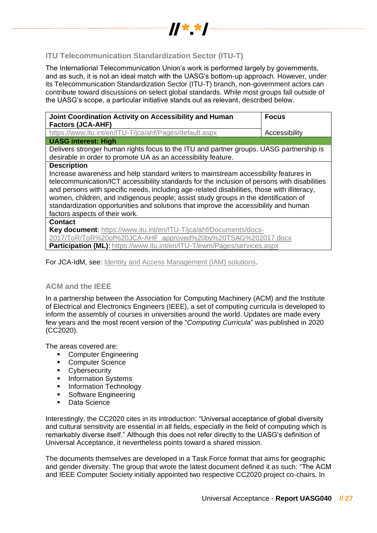

## <span id="page-26-0"></span>**ITU Telecommunication Standardization Sector (ITU-T)**

The International Telecommunication Union's work is performed largely by governments, and as such, it is not an ideal match with the UASG's bottom-up approach. However, under its Telecommunication Standardization Sector (ITU-T) branch, non-government actors can contribute toward discussions on select global standards. While most groups fall outside of the UASG's scope, a particular initiative stands out as relevant, described below.

| Joint Coordination Activity on Accessibility and Human<br><b>Factors (JCA-AHF)</b>                                                                                                                                                                                                                                                                                                                                                                                                        | <b>Focus</b>  |
|-------------------------------------------------------------------------------------------------------------------------------------------------------------------------------------------------------------------------------------------------------------------------------------------------------------------------------------------------------------------------------------------------------------------------------------------------------------------------------------------|---------------|
| https://www.itu.int/en/ITU-T/jca/ahf/Pages/default.aspx                                                                                                                                                                                                                                                                                                                                                                                                                                   | Accessibility |
| <b>UASG interest: High</b>                                                                                                                                                                                                                                                                                                                                                                                                                                                                |               |
| Delivers stronger human rights focus to the ITU and partner groups. UASG partnership is<br>desirable in order to promote UA as an accessibility feature.                                                                                                                                                                                                                                                                                                                                  |               |
| <b>Description</b><br>Increase awareness and help standard writers to mainstream accessibility features in<br>telecommunication/ICT accessibility standards for the inclusion of persons with disabilities<br>and persons with specific needs, including age-related disabilities, those with illiteracy,<br>women, children, and indigenous people; assist study groups in the identification of<br>standardization opportunities and solutions that improve the accessibility and human |               |
| factors aspects of their work.<br><b>Contact</b>                                                                                                                                                                                                                                                                                                                                                                                                                                          |               |
| Key document: https://www.itu.int/en/ITU-T/jca/ahf/Documents/docs-<br>2017/ToR/ToR%20of%20JCA-AHF approved%20by%20TSAG%202017.docx<br>Participation (ML): https://www.itu.int/en/ITU-T/ewm/Pages/services.aspx                                                                                                                                                                                                                                                                            |               |

For JCA-IdM, see: [Identity and Access Management \(IAM\) solutions.](#page-33-0)

## <span id="page-26-1"></span>**ACM and the IEEE**

In a partnership between the Association for Computing Machinery (ACM) and the Institute of Electrical and Electronics Engineers (IEEE), a set of computing curricula is developed to inform the assembly of courses in universities around the world. Updates are made every few years and the most recent version of the "*Computing Curricula*" was published in 2020 (CC2020).

The areas covered are:

- Computer Engineering
- Computer Science
- **•** Cybersecurity
- **•** Information Systems
- **•** Information Technology
- Software Engineering
- Data Science

Interestingly, the CC2020 cites in its introduction: "Universal acceptance of global diversity and cultural sensitivity are essential in all fields, especially in the field of computing which is remarkably diverse itself." Although this does not refer directly to the UASG's definition of Universal Acceptance, it nevertheless points toward a shared mission.

The documents themselves are developed in a Task Force format that aims for geographic and gender diversity. The group that wrote the latest document defined it as such: "The ACM and IEEE Computer Society initially appointed two respective CC2020 project co-chairs. In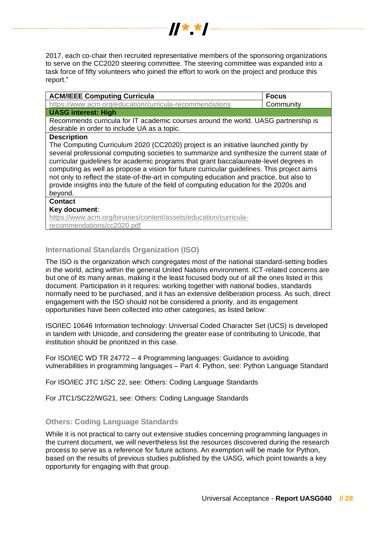2017, each co-chair then recruited representative members of the sponsoring organizations to serve on the CC2020 steering committee. The steering committee was expanded into a task force of fifty volunteers who joined the effort to work on the project and produce this report."

 $\frac{1}{2}$   $\frac{1}{2}$   $\frac{1}{2}$   $\frac{1}{2}$   $\frac{1}{2}$   $\frac{1}{2}$ 

| <b>ACM/IEEE Computing Curricula</b>                                                                                                                                                                                                                                                                                                                                                                                                                                                                                                                                      | <b>Focus</b> |
|--------------------------------------------------------------------------------------------------------------------------------------------------------------------------------------------------------------------------------------------------------------------------------------------------------------------------------------------------------------------------------------------------------------------------------------------------------------------------------------------------------------------------------------------------------------------------|--------------|
| https://www.acm.org/education/curricula-recommendations                                                                                                                                                                                                                                                                                                                                                                                                                                                                                                                  | Community    |
| <b>UASG interest: High</b>                                                                                                                                                                                                                                                                                                                                                                                                                                                                                                                                               |              |
| Recommends curricula for IT academic courses around the world. UASG partnership is<br>desirable in order to include UA as a topic.                                                                                                                                                                                                                                                                                                                                                                                                                                       |              |
| <b>Description</b>                                                                                                                                                                                                                                                                                                                                                                                                                                                                                                                                                       |              |
| The Computing Curriculum 2020 (CC2020) project is an initiative launched jointly by<br>several professional computing societies to summarize and synthesize the current state of<br>curricular guidelines for academic programs that grant baccalaureate-level degrees in<br>computing as well as propose a vision for future curricular guidelines. This project aims<br>not only to reflect the state-of-the-art in computing education and practice, but also to<br>provide insights into the future of the field of computing education for the 2020s and<br>beyond. |              |
| <b>Contact</b>                                                                                                                                                                                                                                                                                                                                                                                                                                                                                                                                                           |              |
| Key document:                                                                                                                                                                                                                                                                                                                                                                                                                                                                                                                                                            |              |
| https://www.acm.org/binaries/content/assets/education/curricula-                                                                                                                                                                                                                                                                                                                                                                                                                                                                                                         |              |
| recommendations/cc2020.pdf                                                                                                                                                                                                                                                                                                                                                                                                                                                                                                                                               |              |

## <span id="page-27-0"></span>**International Standards Organization (ISO)**

The ISO is the organization which congregates most of the national standard-setting bodies in the world, acting within the general United Nations environment. ICT-related concerns are but one of its many areas, making it the least focused body out of all the ones listed in this document. Participation in it requires: working together with national bodies, standards normally need to be purchased, and it has an extensive deliberation process. As such, direct engagement with the ISO should not be considered a priority, and its engagement opportunities have been collected into other categories, as listed below:

ISO/IEC 10646 Information technology: Universal Coded Character Set (UCS) is developed in tandem with Unicode, and considering the greater ease of contributing to Unicode, that institution should be prioritized in this case.

For ISO/IEC WD TR 24772 – 4 Programming languages: Guidance to avoiding vulnerabilities in programming languages – Part 4: Python, see: Python Language Standard

For ISO/IEC JTC 1/SC 22, see: Others: Coding Language Standards

For JTC1/SC22/WG21, see: Others: Coding Language Standards

## <span id="page-27-1"></span>**Others: Coding Language Standards**

While it is not practical to carry out extensive studies concerning programming languages in the current document, we will nevertheless list the resources discovered during the research process to serve as a reference for future actions. An exemption will be made for Python, based on the results of previous studies published by the UASG, which point towards a key opportunity for engaging with that group.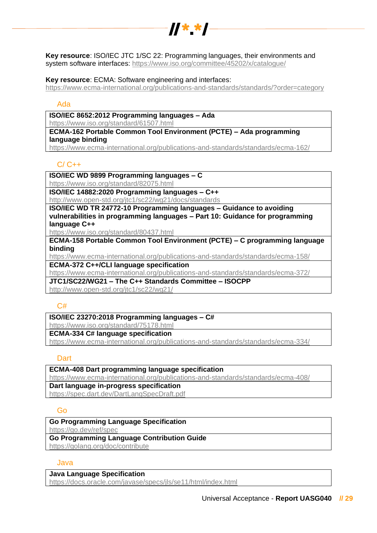

**Key resource**: ISO/IEC JTC 1/SC 22: Programming languages, their environments and system software interfaces:<https://www.iso.org/committee/45202/x/catalogue/>

#### **Key resource**: ECMA: Software engineering and interfaces:

<https://www.ecma-international.org/publications-and-standards/standards/?order=category>

## Ada

## **ISO/IEC 8652:2012 Programming languages – Ada**

<https://www.iso.org/standard/61507.html>

**ECMA-162 Portable Common Tool Environment (PCTE) – Ada programming language binding**

<https://www.ecma-international.org/publications-and-standards/standards/ecma-162/>

## $C/C++$

**ISO/IEC WD 9899 Programming languages – C** 

<https://www.iso.org/standard/82075.html>

**ISO/IEC 14882:2020 Programming languages – C++** <http://www.open-std.org/jtc1/sc22/wg21/docs/standards>

**ISO/IEC WD TR 24772-10 Programming languages – Guidance to avoiding vulnerabilities in programming languages – Part 10: Guidance for programming** 

#### **language C++**

<https://www.iso.org/standard/80437.html>

**ECMA-158 Portable Common Tool Environment (PCTE) – C programming language binding**

<https://www.ecma-international.org/publications-and-standards/standards/ecma-158/>

**ECMA-372 C++/CLI language specification**

<https://www.ecma-international.org/publications-and-standards/standards/ecma-372/>

**JTC1/SC22/WG21 – The C++ Standards Committee – ISOCPP**

<http://www.open-std.org/jtc1/sc22/wg21/>

## $C#$

## **ISO/IEC 23270:2018 Programming languages – C#**

<https://www.iso.org/standard/75178.html>

## **ECMA-334 C# language specification**

<https://www.ecma-international.org/publications-and-standards/standards/ecma-334/>

## **Dart**

**ECMA-408 Dart programming language specification** <https://www.ecma-international.org/publications-and-standards/standards/ecma-408/> **Dart language in-progress specification** <https://spec.dart.dev/DartLangSpecDraft.pdf>

## Go

**Go Programming Language Specification** <https://go.dev/ref/spec> **Go Programming Language Contribution Guide**

<https://golang.org/doc/contribute>

## Java

## **Java Language Specification**

<https://docs.oracle.com/javase/specs/jls/se11/html/index.html>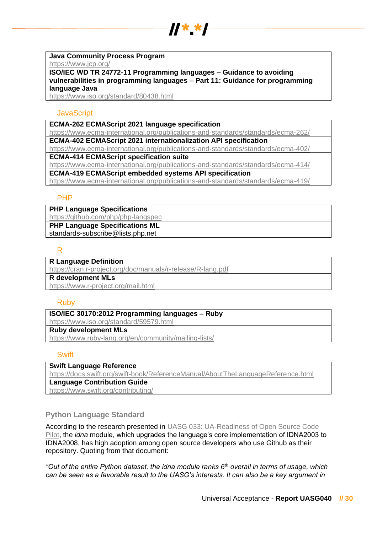

#### **Java Community Process Program**

<https://www.jcp.org/>

**ISO/IEC WD TR 24772-11 Programming languages – Guidance to avoiding vulnerabilities in programming languages – Part 11: Guidance for programming language Java**

<https://www.iso.org/standard/80438.html>

### **JavaScript**

**ECMA-262 ECMAScript 2021 language specification**

<https://www.ecma-international.org/publications-and-standards/standards/ecma-262/>

**ECMA-402 ECMAScript 2021 internationalization API specification**

<https://www.ecma-international.org/publications-and-standards/standards/ecma-402/>

**ECMA-414 ECMAScript specification suite**

<https://www.ecma-international.org/publications-and-standards/standards/ecma-414/>

**ECMA-419 ECMAScript embedded systems API specification**

<https://www.ecma-international.org/publications-and-standards/standards/ecma-419/>

## PHP

**PHP Language Specifications**

<https://github.com/php/php-langspec> **PHP Language Specifications ML**

standards-subscribe@lists.php.net

## R

## **R Language Definition**

<https://cran.r-project.org/doc/manuals/r-release/R-lang.pdf>

**R development MLs**

<https://www.r-project.org/mail.html>

## Ruby

**ISO/IEC 30170:2012 Programming languages – Ruby**

<https://www.iso.org/standard/59579.html>

# **Ruby development MLs**

<https://www.ruby-lang.org/en/community/mailing-lists/>

## **Swift**

**Swift Language Reference** <https://docs.swift.org/swift-book/ReferenceManual/AboutTheLanguageReference.html> **Language Contribution Guide**

<https://www.swift.org/contributing/>

## <span id="page-29-0"></span>**Python Language Standard**

According to the research presented in [UASG 033: UA-Readiness of Open Source Code](https://uasg.tech/download/uasg-033-ua-readiness-of-open-source-code-pilot-en/)  [Pilot,](https://uasg.tech/download/uasg-033-ua-readiness-of-open-source-code-pilot-en/) the *idna* module, which upgrades the language's core implementation of IDNA2003 to IDNA2008, has high adoption among open source developers who use Github as their repository. Quoting from that document:

*"Out of the entire Python dataset, the idna module ranks 6th overall in terms of usage, which can be seen as a favorable result to the UASG's interests. It can also be a key argument in*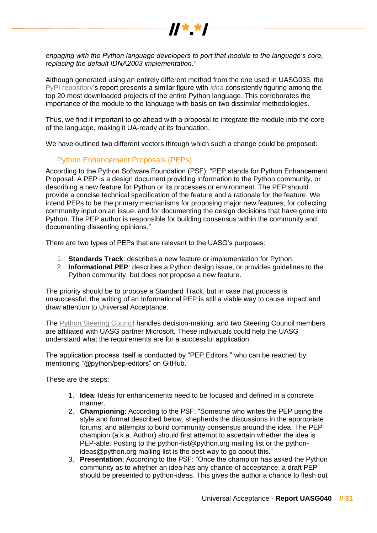

*engaging with the Python language developers to port that module to the language's core, replacing the default IDNA2003 implementation."*

Although generated using an entirely different method from the one used in UASG033, the [PyPI repository'](https://pypistats.org/top)s report presents a similar figure with *[idna](https://pypi.org/project/idna/)* consistently figuring among the top 20 most downloaded projects of the entire Python language. This corroborates the importance of the module to the language with basis on two dissimilar methodologies.

Thus, we find it important to go ahead with a proposal to integrate the module into the core of the language, making it UA-ready at its foundation.

We have outlined two different vectors through which such a change could be proposed:

## Python Enhancement Proposals (PEPs)

According to the Python Software Foundation (PSF): "PEP stands for Python Enhancement Proposal. A PEP is a design document providing information to the Python community, or describing a new feature for Python or its processes or environment. The PEP should provide a concise technical specification of the feature and a rationale for the feature. We intend PEPs to be the primary mechanisms for proposing major new features, for collecting community input on an issue, and for documenting the design decisions that have gone into Python. The PEP author is responsible for building consensus within the community and documenting dissenting opinions."

There are two types of PEPs that are relevant to the UASG's purposes:

- 1. **Standards Track**: describes a new feature or implementation for Python.
- 2. **Informational PEP**: describes a Python design issue, or provides guidelines to the Python community, but does not propose a new feature.

The priority should be to propose a Standard Track, but in case that process is unsuccessful, the writing of an Informational PEP is still a viable way to cause impact and draw attention to Universal Acceptance.

The [Python Steering Council](https://www.python.org/dev/peps/pep-8102/) handles decision-making, and two Steering Council members are affiliated with UASG partner Microsoft. These individuals could help the UASG understand what the requirements are for a successful application.

The application process itself is conducted by "PEP Editors," who can be reached by mentioning "@python/pep-editors" on GitHub.

These are the steps:

- 1. **Idea**: Ideas for enhancements need to be focused and defined in a concrete manner.
- 2. **Championing**: According to the PSF: "Someone who writes the PEP using the style and format described below, shepherds the discussions in the appropriate forums, and attempts to build community consensus around the idea. The PEP champion (a.k.a. Author) should first attempt to ascertain whether the idea is PEP-able. Posting to the python-list@python.org mailing list or the pythonideas@python.org mailing list is the best way to go about this."
- 3. **Presentation**: According to the PSF: "Once the champion has asked the Python community as to whether an idea has any chance of acceptance, a draft PEP should be presented to python-ideas. This gives the author a chance to flesh out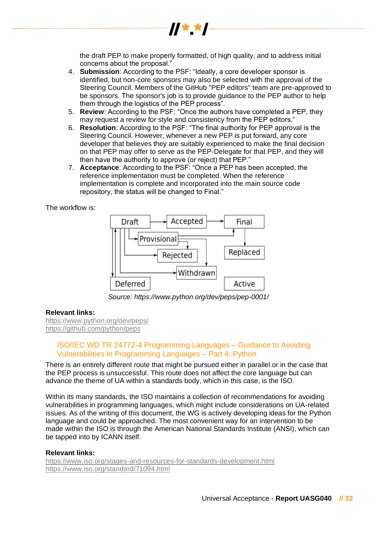

the draft PEP to make properly formatted, of high quality, and to address initial concerns about the proposal."

- 4. **Submission**: According to the PSF: "Ideally, a core developer sponsor is identified, but non-core sponsors may also be selected with the approval of the Steering Council. Members of the GitHub "PEP editors" team are pre-approved to be sponsors. The sponsor's job is to provide guidance to the PEP author to help them through the logistics of the PEP process".
- 5. **Review**: According to the PSF: "Once the authors have completed a PEP, they may request a review for style and consistency from the PEP editors."
- 6. **Resolution**: According to the PSF: "The final authority for PEP approval is the Steering Council. However, whenever a new PEP is put forward, any core developer that believes they are suitably experienced to make the final decision on that PEP may offer to serve as the PEP-Delegate for that PEP, and they will then have the authority to approve (or reject) that PEP."
- 7. **Acceptance**: According to the PSF: "Once a PEP has been accepted, the reference implementation must be completed. When the reference implementation is complete and incorporated into the main source code repository, the status will be changed to Final."

The workflow is:



*Source: https://www.python.org/dev/peps/pep-0001/*

## **Relevant links:**

<https://www.python.org/dev/peps/> <https://github.com/python/peps>

## ISO/IEC WD TR 24772-4 Programming Languages – Guidance to Avoiding Vulnerabilities in Programming Languages – Part 4: Python

There is an entirely different route that might be pursued either in parallel or in the case that the PEP process is unsuccessful. This route does not affect the core language but can advance the theme of UA within a standards body, which in this case, is the ISO.

Within its many standards, the ISO maintains a collection of recommendations for avoiding vulnerabilities in programming languages, which might include considerations on UA-related issues. As of the writing of this document, the WG is actively developing ideas for the Python language and could be approached. The most convenient way for an intervention to be made within the ISO is through the American National Standards Institute (ANSI), which can be tapped into by ICANN itself.

#### **Relevant links:**

<https://www.iso.org/stages-and-resources-for-standards-development.html> <https://www.iso.org/standard/71094.html>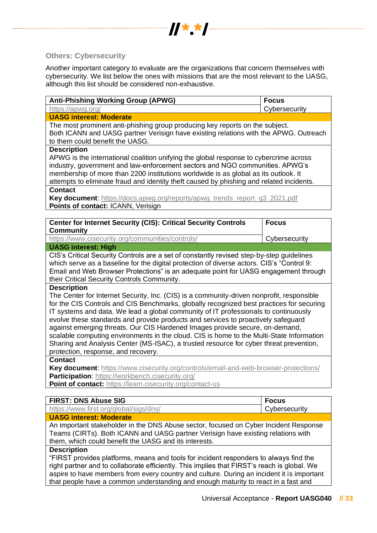

## <span id="page-32-0"></span>**Others: Cybersecurity**

Another important category to evaluate are the organizations that concern themselves with cybersecurity. We list below the ones with missions that are the most relevant to the UASG, although this list should be considered non-exhaustive.

| <b>Anti-Phishing Working Group (APWG)</b>                                                   | <b>Focus</b>                                                                              |  |
|---------------------------------------------------------------------------------------------|-------------------------------------------------------------------------------------------|--|
| https://apwg.org/                                                                           | Cybersecurity                                                                             |  |
| <b>UASG interest: Moderate</b>                                                              |                                                                                           |  |
| The most prominent anti-phishing group producing key reports on the subject.                |                                                                                           |  |
| Both ICANN and UASG partner Verisign have existing relations with the APWG. Outreach        |                                                                                           |  |
| to them could benefit the UASG.                                                             |                                                                                           |  |
| <b>Description</b>                                                                          |                                                                                           |  |
| APWG is the international coalition unifying the global response to cybercrime across       |                                                                                           |  |
| industry, government and law-enforcement sectors and NGO communities. APWG's                |                                                                                           |  |
| membership of more than 2200 institutions worldwide is as global as its outlook. It         |                                                                                           |  |
| attempts to eliminate fraud and identity theft caused by phishing and related incidents.    |                                                                                           |  |
| <b>Contact</b>                                                                              |                                                                                           |  |
| Key document: https://docs.apwg.org/reports/apwg_trends_report_q3_2021.pdf                  |                                                                                           |  |
| Points of contact: ICANN, Verisign                                                          |                                                                                           |  |
|                                                                                             |                                                                                           |  |
| <b>Center for Internet Security (CIS): Critical Security Controls</b>                       | <b>Focus</b>                                                                              |  |
| <b>Community</b>                                                                            |                                                                                           |  |
| https://www.cisecurity.org/communities/controls/                                            | Cybersecurity                                                                             |  |
| <b>UASG interest: High</b>                                                                  |                                                                                           |  |
| CIS's Critical Security Controls are a set of constantly revised step-by-step guidelines    |                                                                                           |  |
| which serve as a baseline for the digital protection of diverse actors. CIS's "Control 9:   |                                                                                           |  |
| Email and Web Browser Protections" is an adequate point for UASG engagement through         |                                                                                           |  |
| their Critical Security Controls Community.                                                 |                                                                                           |  |
| <b>Description</b>                                                                          |                                                                                           |  |
| The Center for Internet Security, Inc. (CIS) is a community-driven nonprofit, responsible   |                                                                                           |  |
| for the CIS Controls and CIS Benchmarks, globally recognized best practices for securing    |                                                                                           |  |
| IT systems and data. We lead a global community of IT professionals to continuously         |                                                                                           |  |
| evolve these standards and provide products and services to proactively safeguard           |                                                                                           |  |
| against emerging threats. Our CIS Hardened Images provide secure, on-demand,                |                                                                                           |  |
| scalable computing environments in the cloud. CIS is home to the Multi-State Information    |                                                                                           |  |
| Sharing and Analysis Center (MS-ISAC), a trusted resource for cyber threat prevention,      |                                                                                           |  |
| protection, response, and recovery.                                                         |                                                                                           |  |
| <b>Contact</b>                                                                              |                                                                                           |  |
| Key document: https://www.cisecurity.org/controls/email-and-web-browser-protections/        |                                                                                           |  |
| <b>Participation:</b> https://workbench.cisecurity.org/                                     |                                                                                           |  |
| Point of contact: https://learn.cisecurity.org/contact-us                                   |                                                                                           |  |
|                                                                                             |                                                                                           |  |
| <b>FIRST: DNS Abuse SIG</b>                                                                 | <b>Focus</b>                                                                              |  |
| https://www.first.org/global/sigs/dns/                                                      | Cybersecurity                                                                             |  |
| <b>UASG interest: Moderate</b>                                                              |                                                                                           |  |
| An important stakeholder in the DNS Abuse sector, focused on Cyber Incident Response        |                                                                                           |  |
| Teams (CIRTs). Both ICANN and UASG partner Verisign have existing relations with            |                                                                                           |  |
| them, which could benefit the UASG and its interests.                                       |                                                                                           |  |
| <b>Description</b>                                                                          |                                                                                           |  |
| "FIRST provides platforms, means and tools for incident responders to always find the       |                                                                                           |  |
| right partner and to collaborate efficiently. This implies that FIRST's reach is global. We |                                                                                           |  |
|                                                                                             | aspire to have members from every country and culture. During an incident it is important |  |

that people have a common understanding and enough maturity to react in a fast and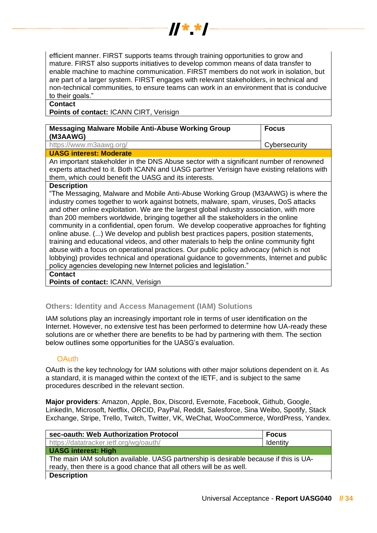

efficient manner. FIRST supports teams through training opportunities to grow and mature. FIRST also supports initiatives to develop common means of data transfer to enable machine to machine communication. FIRST members do not work in isolation, but are part of a larger system. FIRST engages with relevant stakeholders, in technical and non-technical communities, to ensure teams can work in an environment that is conducive to their goals."

### **Contact**

**Points of contact:** ICANN CIRT, Verisign

| Messaging Malware Mobile Anti-Abuse Working Group<br>(M3AAWG)                          | <b>Focus</b>  |
|----------------------------------------------------------------------------------------|---------------|
| https://www.m3aawg.org/                                                                | Cybersecurity |
| <b>UASG interest: Moderate</b>                                                         |               |
| An important stakeholder in the DNS Abuse sector with a significant number of renowned |               |

experts attached to it. Both ICANN and UASG partner Verisign have existing relations with them, which could benefit the UASG and its interests.

## **Description**

"The Messaging, Malware and Mobile Anti-Abuse Working Group (M3AAWG) is where the industry comes together to work against botnets, malware, spam, viruses, DoS attacks and other online exploitation. We are the largest global industry association, with more than 200 members worldwide, bringing together all the stakeholders in the online community in a confidential, open forum. We develop cooperative approaches for fighting online abuse. (...) We develop and publish best practices papers, position statements, training and educational videos, and other materials to help the online community fight abuse with a focus on operational practices. Our public policy advocacy (which is not lobbying) provides technical and operational guidance to governments, Internet and public policy agencies developing new Internet policies and legislation."

**Contact**

**Points of contact: ICANN, Verisign** 

## <span id="page-33-0"></span>**Others: Identity and Access Management (IAM) Solutions**

IAM solutions play an increasingly important role in terms of user identification on the Internet. However, no extensive test has been performed to determine how UA-ready these solutions are or whether there are benefits to be had by partnering with them. The section below outlines some opportunities for the UASG's evaluation.

## **OAuth**

OAuth is the key technology for IAM solutions with other major solutions dependent on it. As a standard, it is managed within the context of the IETF, and is subject to the same procedures described in the relevant section.

**Major providers**: Amazon, Apple, Box, Discord, Evernote, Facebook, Github, Google, LinkedIn, Microsoft, Netflix, ORCID, PayPal, Reddit, Salesforce, Sina Weibo, Spotify, Stack Exchange, Stripe, Trello, Twitch, Twitter, VK, WeChat, WooCommerce, WordPress, Yandex.

| sec-oauth: Web Authorization Protocol                                                 | <b>Focus</b> |
|---------------------------------------------------------------------------------------|--------------|
| https://datatracker.ietf.org/wg/oauth/                                                | Identity     |
| <b>UASG interest: High</b>                                                            |              |
| The main IAM solution available. UASG partnership is desirable because if this is UA- |              |
| ready, then there is a good chance that all others will be as well.                   |              |
| <b>Description</b>                                                                    |              |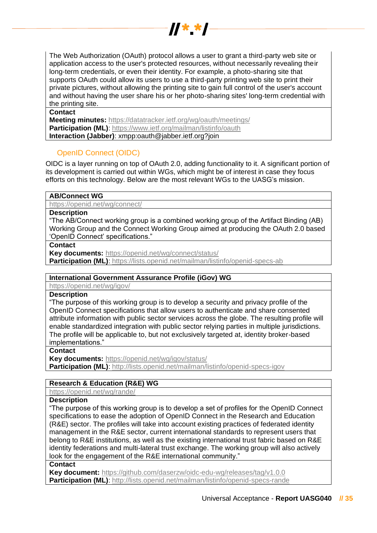

The Web Authorization (OAuth) protocol allows a user to grant a third-party web site or application access to the user's protected resources, without necessarily revealing their long-term credentials, or even their identity. For example, a photo-sharing site that supports OAuth could allow its users to use a third-party printing web site to print their private pictures, without allowing the printing site to gain full control of the user's account and without having the user share his or her photo-sharing sites' long-term credential with the printing site.

#### **Contact**

**Meeting minutes:** <https://datatracker.ietf.org/wg/oauth/meetings/> **Participation (ML):** https://www.ietf.org/mailman/listinfo/oauth **Interaction (Jabber)**: xmpp:oauth@jabber.ietf.org?join

## OpenID Connect (OIDC)

OIDC is a layer running on top of OAuth 2.0, adding functionality to it. A significant portion of its development is carried out within WGs, which might be of interest in case they focus efforts on this technology. Below are the most relevant WGs to the UASG's mission.

## **AB/Connect WG**

<https://openid.net/wg/connect/>

## **Description**

"The AB/Connect working group is a combined working group of the Artifact Binding (AB) Working Group and the Connect Working Group aimed at producing the OAuth 2.0 based 'OpenID Connect' specifications."

**Contact**

**Key documents:** <https://openid.net/wg/connect/status/>

**Participation (ML):** https://lists.openid.net/mailman/listinfo/openid-specs-ab

## **International Government Assurance Profile (iGov) WG**

<https://openid.net/wg/igov/>

## **Description**

"The purpose of this working group is to develop a security and privacy profile of the OpenID Connect specifications that allow users to authenticate and share consented attribute information with public sector services across the globe. The resulting profile will enable standardized integration with public sector relying parties in multiple jurisdictions. The profile will be applicable to, but not exclusively targeted at, identity broker-based implementations."

#### **Contact**

**Key documents:** <https://openid.net/wg/igov/status/>

**Participation (ML):** http://lists.openid.net/mailman/listinfo/openid-specs-igov

## **Research & Education (R&E) WG**

<https://openid.net/wg/rande/>

#### **Description**

"The purpose of this working group is to develop a set of profiles for the OpenID Connect specifications to ease the adoption of OpenID Connect in the Research and Education (R&E) sector. The profiles will take into account existing practices of federated identity management in the R&E sector, current international standards to represent users that belong to R&E institutions, as well as the existing international trust fabric based on R&E identity federations and multi-lateral trust exchange. The working group will also actively look for the engagement of the R&E international community."

#### **Contact**

**Key document:** <https://github.com/daserzw/oidc-edu-wg/releases/tag/v1.0.0> **Participation (ML):** http://lists.openid.net/mailman/listinfo/openid-specs-rande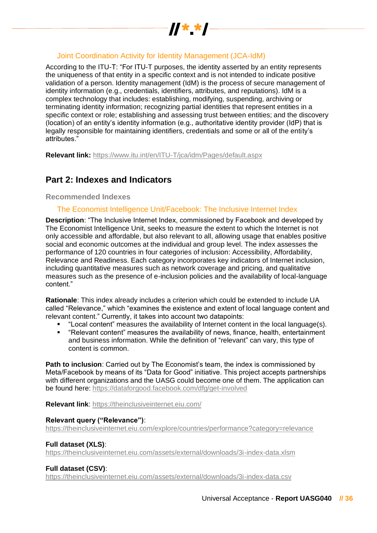

## Joint Coordination Activity for Identity Management (JCA-IdM)

According to the ITU-T: "For ITU-T purposes, the identity asserted by an entity represents the uniqueness of that entity in a specific context and is not intended to indicate positive validation of a person. Identity management (IdM) is the process of secure management of identity information (e.g., credentials, identifiers, attributes, and reputations). IdM is a complex technology that includes: establishing, modifying, suspending, archiving or terminating identity information; recognizing partial identities that represent entities in a specific context or role; establishing and assessing trust between entities; and the discovery (location) of an entity's identity information (e.g., authoritative identity provider (IdP) that is legally responsible for maintaining identifiers, credentials and some or all of the entity's attributes."

**Relevant link:** <https://www.itu.int/en/ITU-T/jca/idm/Pages/default.aspx>

# <span id="page-35-0"></span>**Part 2: Indexes and Indicators**

## <span id="page-35-1"></span>**Recommended Indexes**

## The Economist Intelligence Unit/Facebook: The Inclusive Internet Index

**Description**: "The Inclusive Internet Index, commissioned by Facebook and developed by The Economist Intelligence Unit, seeks to measure the extent to which the Internet is not only accessible and affordable, but also relevant to all, allowing usage that enables positive social and economic outcomes at the individual and group level. The index assesses the performance of 120 countries in four categories of inclusion: Accessibility, Affordability, Relevance and Readiness. Each category incorporates key indicators of Internet inclusion, including quantitative measures such as network coverage and pricing, and qualitative measures such as the presence of e-inclusion policies and the availability of local-language content."

**Rationale**: This index already includes a criterion which could be extended to include UA called "Relevance," which "examines the existence and extent of local language content and relevant content." Currently, it takes into account two datapoints:

- "Local content" measures the availability of Internet content in the local language(s).
- "Relevant content" measures the availability of news, finance, health, entertainment and business information. While the definition of "relevant" can vary, this type of content is common.

**Path to inclusion**: Carried out by The Economist's team, the index is commissioned by Meta/Facebook by means of its "Data for Good" initiative. This project accepts partnerships with different organizations and the UASG could become one of them. The application can be found here:<https://dataforgood.facebook.com/dfg/get-involved>

**Relevant link**:<https://theinclusiveinternet.eiu.com/>

#### **Relevant query ("Relevance")**:

<https://theinclusiveinternet.eiu.com/explore/countries/performance?category=relevance>

## **Full dataset (XLS)**:

<https://theinclusiveinternet.eiu.com/assets/external/downloads/3i-index-data.xlsm>

## **Full dataset (CSV)**:

<https://theinclusiveinternet.eiu.com/assets/external/downloads/3i-index-data.csv>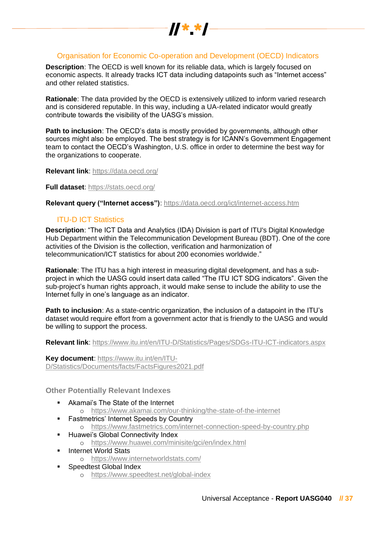

## Organisation for Economic Co-operation and Development (OECD) Indicators

**Description**: The OECD is well known for its reliable data, which is largely focused on economic aspects. It already tracks ICT data including datapoints such as "Internet access" and other related statistics.

**Rationale**: The data provided by the OECD is extensively utilized to inform varied research and is considered reputable. In this way, including a UA-related indicator would greatly contribute towards the visibility of the UASG's mission.

**Path to inclusion**: The OECD's data is mostly provided by governments, although other sources might also be employed. The best strategy is for ICANN's Government Engagement team to contact the OECD's Washington, U.S. office in order to determine the best way for the organizations to cooperate.

**Relevant link**:<https://data.oecd.org/>

**Full dataset**:<https://stats.oecd.org/>

**Relevant query ("Internet access")**:<https://data.oecd.org/ict/internet-access.htm>

## ITU-D ICT Statistics

**Description**: "The ICT Data and Analytics (IDA) Division is part of ITU's Digital Knowledge Hub Department within the Telecommunication Development Bureau (BDT). One of the core activities of the Division is the collection, verification and harmonization of telecommunication/ICT statistics for about 200 economies worldwide."

**Rationale**: The ITU has a high interest in measuring digital development, and has a subproject in which the UASG could insert data called "The ITU ICT SDG indicators". Given the sub-project's human rights approach, it would make sense to include the ability to use the Internet fully in one's language as an indicator.

**Path to inclusion**: As a state-centric organization, the inclusion of a datapoint in the ITU's dataset would require effort from a government actor that is friendly to the UASG and would be willing to support the process.

**Relevant link**:<https://www.itu.int/en/ITU-D/Statistics/Pages/SDGs-ITU-ICT-indicators.aspx>

**Key document**: [https://www.itu.int/en/ITU-](https://www.itu.int/en/ITU-D/Statistics/Documents/facts/FactsFigures2021.pdf)[D/Statistics/Documents/facts/FactsFigures2021.pdf](https://www.itu.int/en/ITU-D/Statistics/Documents/facts/FactsFigures2021.pdf)

<span id="page-36-0"></span>**Other Potentially Relevant Indexes**

- Akamai's The State of the Internet
	- o <https://www.akamai.com/our-thinking/the-state-of-the-internet>
- **Eastmetrics' Internet Speeds by Country** 
	- o <https://www.fastmetrics.com/internet-connection-speed-by-country.php>
- **E** Huawei's Global Connectivity Index
	- o <https://www.huawei.com/minisite/gci/en/index.html>
- **Internet World Stats** 
	- o <https://www.internetworldstats.com/>
- Speedtest Global Index o <https://www.speedtest.net/global-index>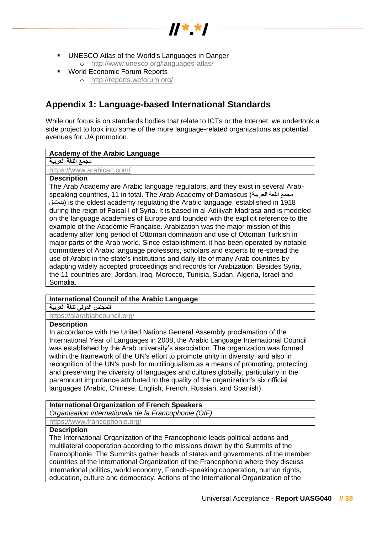

- **UNESCO Atlas of the World's Languages in Danger** 
	- o <http://www.unesco.org/languages-atlas/>
- World Economic Forum Reports
	- o <http://reports.weforum.org/>

# <span id="page-37-0"></span>**Appendix 1: Language-based International Standards**

While our focus is on standards bodies that relate to ICTs or the Internet, we undertook a side project to look into some of the more language-related organizations as potential avenues for UA promotion.

## **Academy of the Arabic Language**

## **مجمع اللغة العربية**

<https://www.arabicac.com/>

## **Description**

The Arab Academy are Arabic language regulators, and they exist in several Arabspeaking countries, 11 in total. The Arab Academy of Damascus (العربية اللغة مجمع بدمشق (is the oldest academy regulating the Arabic language, established in 1918 during the reign of Faisal I of Syria. It is based in al-Adiliyah Madrasa and is modeled on the language academies of Europe and founded with the explicit reference to the example of the Académie Française. Arabization was the major mission of this academy after long period of Ottoman domination and use of Ottoman Turkish in major parts of the Arab world. Since establishment, it has been operated by notable committees of Arabic language professors, scholars and experts to re-spread the use of Arabic in the state's institutions and daily life of many Arab countries by adapting widely accepted proceedings and records for Arabization. Besides Syria, the 11 countries are: Jordan, Iraq, Morocco, Tunisia, Sudan, Algeria, Israel and Somalia.

## **International Council of the Arabic Language**

**المجلس الدولي للغة العربية** 

<https://alarabiahcouncil.org/>

## **Description**

In accordance with the United Nations General Assembly proclamation of the International Year of Languages in 2008, the Arabic Language International Council was established by the Arab university's association. The organization was formed within the framework of the UN's effort to promote unity in diversity, and also in recognition of the UN's push for multilingualism as a means of promoting, protecting and preserving the diversity of languages and cultures globally, particularly in the paramount importance attributed to the quality of the organization's six official languages (Arabic, Chinese, English, French, Russian, and Spanish).

## **International Organization of French Speakers**

*Organisation internationale de la Francophonie (OIF)*

<https://www.francophonie.org/>

## **Description**

The International Organization of the Francophonie leads political actions and multilateral cooperation according to the missions drawn by the Summits of the Francophonie. The Summits gather heads of states and governments of the member countries of the International Organization of the Francophonie where they discuss international politics, world economy, French-speaking cooperation, human rights, education, culture and democracy. Actions of the International Organization of the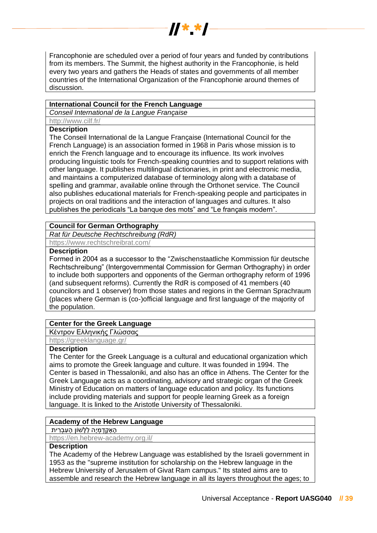

Francophonie are scheduled over a period of four years and funded by contributions from its members. The Summit, the highest authority in the Francophonie, is held every two years and gathers the Heads of states and governments of all member countries of the International Organization of the Francophonie around themes of discussion.

## **International Council for the French Language**

*Conseil International de la Langue Française* <http://www.cilf.fr/>

## **Description**

The Conseil International de la Langue Française (International Council for the French Language) is an association formed in 1968 in Paris whose mission is to enrich the French language and to encourage its influence. Its work involves producing linguistic tools for French-speaking countries and to support relations with other language. It publishes multilingual dictionaries, in print and electronic media, and maintains a computerized database of terminology along with a database of spelling and grammar, available online through the Orthonet service. The Council also publishes educational materials for French-speaking people and participates in projects on oral traditions and the interaction of languages and cultures. It also publishes the periodicals "La banque des mots" and "Le français modern".

## **Council for German Orthography**

*Rat für Deutsche Rechtschreibung (RdR)*

<https://www.rechtschreibrat.com/>

## **Description**

Formed in 2004 as a successor to the "Zwischenstaatliche Kommission für deutsche Rechtschreibung" (Intergovernmental Commission for German Orthography) in order to include both supporters and opponents of the German orthography reform of 1996 (and subsequent reforms). Currently the RdR is composed of 41 members (40 councilors and 1 observer) from those states and regions in the German Sprachraum (places where German is (co-)official language and first language of the majority of the population.

## **Center for the Greek Language**

Κέντρον Ελληνικής Γλώσσας

<https://greeklanguage.gr/>

## **Description**

The Center for the Greek Language is a cultural and educational organization which aims to promote the Greek language and culture. It was founded in 1994. The Center is based in Thessaloniki, and also has an office in Athens. The Center for the Greek Language acts as a coordinating, advisory and strategic organ of the Greek Ministry of Education on matters of language education and policy. Its functions include providing materials and support for people learning Greek as a foreign language. It is linked to the Aristotle University of Thessaloniki.

#### **Academy of the Hebrew Language**

הַ אָקָדָמְיָה לַלָּשׁוֹן הָעָבְרִית

<https://en.hebrew-academy.org.il/>

### **Description**

The Academy of the Hebrew Language was established by the Israeli government in 1953 as the "supreme institution for scholarship on the Hebrew language in the Hebrew University of Jerusalem of Givat Ram campus." Its stated aims are to assemble and research the Hebrew language in all its layers throughout the ages; to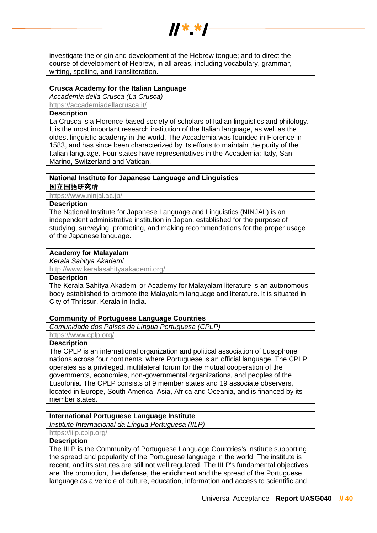

investigate the origin and development of the Hebrew tongue; and to direct the course of development of Hebrew, in all areas, including vocabulary, grammar, writing, spelling, and transliteration.

## **Crusca Academy for the Italian Language**

*Accademia della Crusca (La Crusca)*

<https://accademiadellacrusca.it/>

## **Description**

La Crusca is a Florence-based society of scholars of Italian linguistics and philology. It is the most important research institution of the Italian language, as well as the oldest linguistic academy in the world. The Accademia was founded in Florence in 1583, and has since been characterized by its efforts to maintain the purity of the Italian language. Four states have representatives in the Accademia: Italy, San Marino, Switzerland and Vatican.

## **National Institute for Japanese Language and Linguistics**

#### 国立国語研究所

<https://www.ninjal.ac.jp/>

## **Description**

The National Institute for Japanese Language and Linguistics (NINJAL) is an independent administrative institution in Japan, established for the purpose of studying, surveying, promoting, and making recommendations for the proper usage of the Japanese language.

## **Academy for Malayalam**

*Kerala Sahitya Akademi*

<http://www.keralasahityaakademi.org/>

## **Description**

The Kerala Sahitya Akademi or Academy for Malayalam literature is an autonomous body established to promote the Malayalam language and literature. It is situated in City of Thrissur, Kerala in India.

## **Community of Portuguese Language Countries**

*Comunidade dos Países de Língua Portuguesa (CPLP)*

<https://www.cplp.org/>

## **Description**

The CPLP is an international organization and political association of Lusophone nations across four continents, where Portuguese is an official language. The CPLP operates as a privileged, multilateral forum for the mutual cooperation of the governments, economies, non-governmental organizations, and peoples of the Lusofonia. The CPLP consists of 9 member states and 19 associate observers, located in Europe, South America, Asia, Africa and Oceania, and is financed by its member states.

## **International Portuguese Language Institute**

*Instituto Internacional da Língua Portuguesa (IILP)*

## <https://iilp.cplp.org/>

## **Description**

The IILP is the Community of Portuguese Language Countries's institute supporting the spread and popularity of the Portuguese language in the world. The institute is recent, and its statutes are still not well regulated. The IILP's fundamental objectives are "the promotion, the defense, the enrichment and the spread of the Portuguese language as a vehicle of culture, education, information and access to scientific and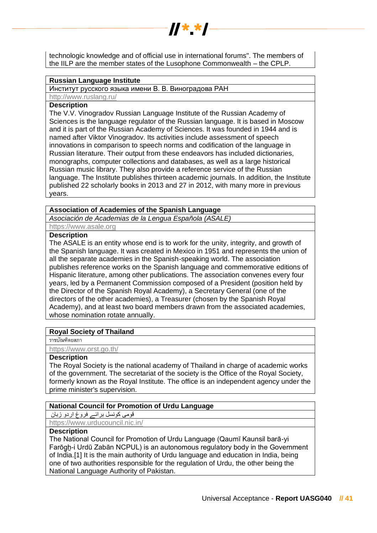

 $\boldsymbol{y}$   $\boldsymbol{y}$ 

#### **Russian Language Institute**

Институт русского языка имени В. В. Виноградова РАН

<http://www.ruslang.ru/>

## **Description**

The V.V. Vinogradov Russian Language Institute of the Russian Academy of Sciences is the language regulator of the Russian language. It is based in Moscow and it is part of the Russian Academy of Sciences. It was founded in 1944 and is named after Viktor Vinogradov. Its activities include assessment of speech innovations in comparison to speech norms and codification of the language in Russian literature. Their output from these endeavors has included dictionaries, monographs, computer collections and databases, as well as a large historical Russian music library. They also provide a reference service of the Russian language. The Institute publishes thirteen academic journals. In addition, the Institute published 22 scholarly books in 2013 and 27 in 2012, with many more in previous years.

## **Association of Academies of the Spanish Language**

*Asociación de Academias de la Lengua Española (ASALE)*

[https://www.asale.org](https://www.asale.org/)

## **Description**

The ASALE is an entity whose end is to work for the unity, integrity, and growth of the Spanish language. It was created in Mexico in 1951 and represents the union of all the separate academies in the Spanish-speaking world. The association publishes reference works on the Spanish language and commemorative editions of Hispanic literature, among other publications. The association convenes every four years, led by a Permanent Commission composed of a President (position held by the Director of the Spanish Royal Academy), a Secretary General (one of the directors of the other academies), a Treasurer (chosen by the Spanish Royal Academy), and at least two board members drawn from the associated academies, whose nomination rotate annually.

#### **Royal Society of Thailand**

ราชบัณฑิตยสภา

<https://www.orst.go.th/>

## **Description**

The Royal Society is the national academy of Thailand in charge of academic works of the government. The secretariat of the society is the Office of the Royal Society, formerly known as the Royal Institute. The office is an independent agency under the prime minister's supervision.

## **National Council for Promotion of Urdu Language**

قومی کونسل برائے فروغ اردو زبان

<https://www.urducouncil.nic.in/>

## **Description**

The National Council for Promotion of Urdu Language (Qaumī Kaunsil barā-yi Farōg̱ẖ-i Urdū Zabān NCPUL) is an autonomous regulatory body in the Government of India.[1] It is the main authority of Urdu language and education in India, being one of two authorities responsible for the regulation of Urdu, the other being the National Language Authority of Pakistan.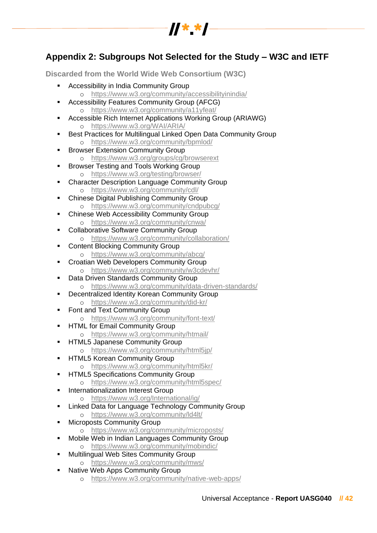

# <span id="page-41-0"></span>**Appendix 2: Subgroups Not Selected for the Study – W3C and IETF**

<span id="page-41-1"></span>**Discarded from the World Wide Web Consortium (W3C)**

- Accessibility in India Community Group
	- o <https://www.w3.org/community/accessibilityinindia/>
- Accessibility Features Community Group (AFCG) o <https://www.w3.org/community/a11yfeat/>
- Accessible Rich Internet Applications Working Group (ARIAWG) o <https://www.w3.org/WAI/ARIA/>
- Best Practices for Multilingual Linked Open Data Community Group o <https://www.w3.org/community/bpmlod/>
- **Browser Extension Community Group** 
	- o <https://www.w3.org/groups/cg/browserext>
- **Browser Testing and Tools Working Group** o <https://www.w3.org/testing/browser/>
- **Character Description Language Community Group** o <https://www.w3.org/community/cdl/>
- Chinese Digital Publishing Community Group o <https://www.w3.org/community/cndpubcg/>
- Chinese Web Accessibility Community Group o <https://www.w3.org/community/cnwa/>
- Collaborative Software Community Group
	- o <https://www.w3.org/community/collaboration/>
- **Content Blocking Community Group** o <https://www.w3.org/community/abcg/>
- Croatian Web Developers Community Group
	- o <https://www.w3.org/community/w3cdevhr/>
- Data Driven Standards Community Group o <https://www.w3.org/community/data-driven-standards/>
- **Decentralized Identity Korean Community Group** 
	- o <https://www.w3.org/community/did-kr/>
- Font and Text Community Group
	- o <https://www.w3.org/community/font-text/>
- **HTML for Email Community Group** 
	- o <https://www.w3.org/community/htmail/>
- **HTML5 Japanese Community Group** 
	- o <https://www.w3.org/community/html5jp/>
- **E** HTML5 Korean Community Group
	- o <https://www.w3.org/community/html5kr/>
- **E** HTML5 Specifications Community Group
	- o <https://www.w3.org/community/html5spec/>
- Internationalization Interest Group o <https://www.w3.org/International/ig/>
- **EXECT** Linked Data for Language Technology Community Group
	- o <https://www.w3.org/community/ld4lt/>
- **Microposts Community Group** o <https://www.w3.org/community/microposts/>
- Mobile Web in Indian Languages Community Group
	- o <https://www.w3.org/community/mobindic/>
- **Multilingual Web Sites Community Group** o <https://www.w3.org/community/mws/>
- Native Web Apps Community Group
	- o <https://www.w3.org/community/native-web-apps/>